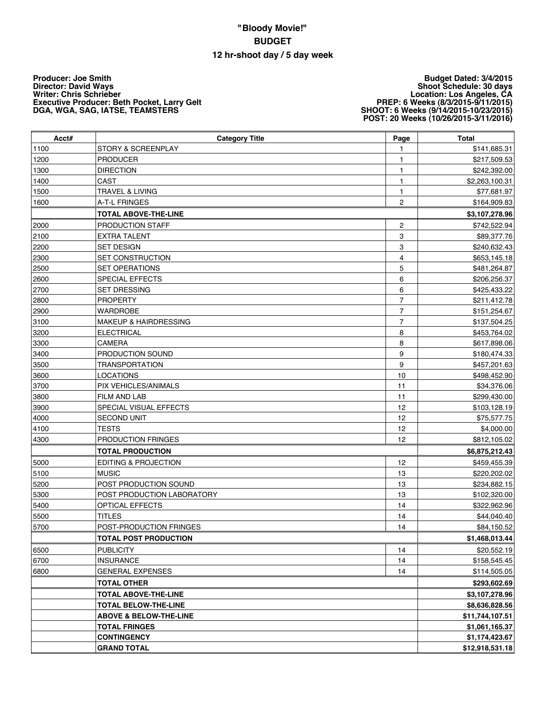## **"Bloody Movie!" BUDGET 12 hr-shoot day / 5 day week**

**Producer: Joe Smith Director: David Ways Writer: Chris Schrieber Executive Producer: Beth Pocket, Larry Gelt DGA, WGA, SAG, IATSE, TEAMSTERS**

**Budget Dated: 3/4/2015 Shoot Schedule: 30 days Location: Los Angeles, CA PREP: 6 Weeks (8/3/2015-9/11/2015) SHOOT: 6 Weeks (9/14/2015-10/23/2015) POST: 20 Weeks (10/26/2015-3/11/2016)**

| Acct# | <b>Category Title</b>             | Page                    | <b>Total</b>    |
|-------|-----------------------------------|-------------------------|-----------------|
| 1100  | <b>STORY &amp; SCREENPLAY</b>     | 1                       | \$141,685.31    |
| 1200  | <b>PRODUCER</b>                   | 1                       | \$217,509.53    |
| 1300  | <b>DIRECTION</b>                  | 1                       | \$242,392.00    |
| 1400  | <b>CAST</b>                       | 1                       | \$2,263,100.31  |
| 1500  | <b>TRAVEL &amp; LIVING</b>        | 1                       | \$77,681.97     |
| 1600  | A-T-L FRINGES                     | 2                       | \$164,909.83    |
|       | <b>TOTAL ABOVE-THE-LINE</b>       |                         | \$3,107,278.96  |
| 2000  | PRODUCTION STAFF                  | $\overline{\mathbf{c}}$ | \$742,522.94    |
| 2100  | <b>EXTRA TALENT</b>               | 3                       | \$89,377.76     |
| 2200  | <b>SET DESIGN</b>                 | 3                       | \$240,632.43    |
| 2300  | <b>SET CONSTRUCTION</b>           | 4                       | \$653,145.18    |
| 2500  | <b>SET OPERATIONS</b>             | 5                       | \$481,264.87    |
| 2600  | <b>SPECIAL EFFECTS</b>            | 6                       | \$206,256.37    |
| 2700  | <b>SET DRESSING</b>               | 6                       | \$425,433.22    |
| 2800  | <b>PROPERTY</b>                   | $\overline{7}$          | \$211,412.78    |
| 2900  | <b>WARDROBE</b>                   | $\overline{7}$          | \$151,254.67    |
| 3100  | <b>MAKEUP &amp; HAIRDRESSING</b>  | $\overline{7}$          | \$137,504.25    |
| 3200  | <b>ELECTRICAL</b>                 | 8                       | \$453,764.02    |
| 3300  | <b>CAMERA</b>                     | 8                       | \$617,898.06    |
| 3400  | PRODUCTION SOUND                  | 9                       | \$180,474.33    |
| 3500  | <b>TRANSPORTATION</b>             | 9                       | \$457,201.63    |
| 3600  | <b>LOCATIONS</b>                  | 10                      | \$498,452.90    |
| 3700  | PIX VEHICLES/ANIMALS              | 11                      | \$34,376.06     |
| 3800  | FILM AND LAB                      | 11                      | \$299,430.00    |
| 3900  | SPECIAL VISUAL EFFECTS            | 12                      | \$103,128.19    |
| 4000  | <b>SECOND UNIT</b>                | 12                      | \$75,577.75     |
| 4100  | <b>TESTS</b>                      | 12                      | \$4,000.00      |
| 4300  | PRODUCTION FRINGES                | 12                      | \$812,105.02    |
|       | <b>TOTAL PRODUCTION</b>           |                         | \$6,875,212.43  |
| 5000  | EDITING & PROJECTION              | 12                      | \$459,455.39    |
| 5100  | <b>MUSIC</b>                      | 13                      | \$220,202.02    |
| 5200  | POST PRODUCTION SOUND             | 13                      | \$234,882.15    |
| 5300  | POST PRODUCTION LABORATORY        | 13                      | \$102,320.00    |
| 5400  | OPTICAL EFFECTS                   | 14                      | \$322,962.96    |
| 5500  | <b>TITLES</b>                     | 14                      | \$44,040.40     |
| 5700  | POST-PRODUCTION FRINGES           | 14                      | \$84,150.52     |
|       | <b>TOTAL POST PRODUCTION</b>      |                         | \$1,468,013.44  |
| 6500  | <b>PUBLICITY</b>                  | 14                      | \$20,552.19     |
| 6700  | <b>INSURANCE</b>                  | 14                      | \$158,545.45    |
| 6800  | <b>GENERAL EXPENSES</b>           | 14                      | \$114,505.05    |
|       | <b>TOTAL OTHER</b>                |                         | \$293,602.69    |
|       | <b>TOTAL ABOVE-THE-LINE</b>       |                         | \$3,107,278.96  |
|       | <b>TOTAL BELOW-THE-LINE</b>       |                         | \$8,636,828.56  |
|       | <b>ABOVE &amp; BELOW-THE-LINE</b> |                         | \$11,744,107.51 |
|       | <b>TOTAL FRINGES</b>              |                         | \$1,061,165.37  |
|       | <b>CONTINGENCY</b>                |                         | \$1,174,423.67  |
|       | <b>GRAND TOTAL</b>                |                         | \$12,918,531.18 |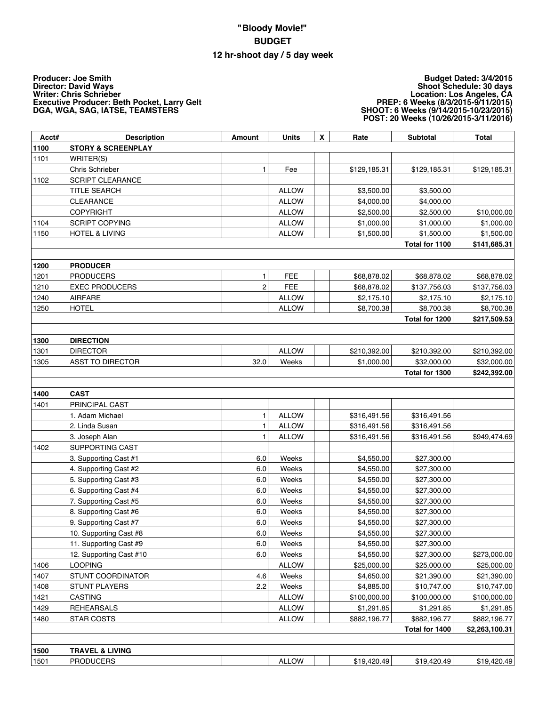## **"Bloody Movie!" BUDGET 12 hr-shoot day / 5 day week**

**Producer: Joe Smith Director: David Ways Writer: Chris Schrieber Executive Producer: Beth Pocket, Larry Gelt DGA, WGA, SAG, IATSE, TEAMSTERS**

## **Budget Dated: 3/4/2015 Shoot Schedule: 30 days Location: Los Angeles, CA PREP: 6 Weeks (8/3/2015-9/11/2015) SHOOT: 6 Weeks (9/14/2015-10/23/2015) POST: 20 Weeks (10/26/2015-3/11/2016)**

| Acct# | <b>Description</b>            | Amount         | <b>Units</b> | $\pmb{\mathsf{X}}$ | Rate         | <b>Subtotal</b> | <b>Total</b>   |
|-------|-------------------------------|----------------|--------------|--------------------|--------------|-----------------|----------------|
| 1100  | <b>STORY &amp; SCREENPLAY</b> |                |              |                    |              |                 |                |
| 1101  | WRITER(S)                     |                |              |                    |              |                 |                |
|       | Chris Schrieber               | 1              | Fee          |                    | \$129,185.31 | \$129,185.31    | \$129,185.31   |
| 1102  | SCRIPT CLEARANCE              |                |              |                    |              |                 |                |
|       | <b>TITLE SEARCH</b>           |                | <b>ALLOW</b> |                    | \$3,500.00   | \$3,500.00      |                |
|       | CLEARANCE                     |                | <b>ALLOW</b> |                    | \$4,000.00   | \$4,000.00      |                |
|       | <b>COPYRIGHT</b>              |                | <b>ALLOW</b> |                    | \$2,500.00   | \$2,500.00      | \$10,000.00    |
| 1104  | <b>SCRIPT COPYING</b>         |                | <b>ALLOW</b> |                    | \$1,000.00   | \$1,000.00      | \$1,000.00     |
| 1150  | <b>HOTEL &amp; LIVING</b>     |                | <b>ALLOW</b> |                    | \$1,500.00   | \$1,500.00      | \$1,500.00     |
|       |                               |                |              |                    |              | Total for 1100  | \$141,685.31   |
|       |                               |                |              |                    |              |                 |                |
| 1200  | <b>PRODUCER</b>               |                |              |                    |              |                 |                |
| 1201  | <b>PRODUCERS</b>              | 1              | FEE          |                    | \$68,878.02  | \$68,878.02     | \$68,878.02    |
| 1210  | <b>EXEC PRODUCERS</b>         | $\overline{c}$ | FEE          |                    | \$68,878.02  | \$137,756.03    | \$137,756.03   |
| 1240  | <b>AIRFARE</b>                |                | <b>ALLOW</b> |                    | \$2,175.10   | \$2,175.10      | \$2,175.10     |
| 1250  | <b>HOTEL</b>                  |                | <b>ALLOW</b> |                    | \$8,700.38   | \$8,700.38      | \$8,700.38     |
|       |                               |                |              |                    |              | Total for 1200  | \$217,509.53   |
| 1300  | <b>DIRECTION</b>              |                |              |                    |              |                 |                |
| 1301  | <b>DIRECTOR</b>               |                | <b>ALLOW</b> |                    | \$210,392.00 | \$210,392.00    | \$210,392.00   |
| 1305  | <b>ASST TO DIRECTOR</b>       | 32.0           | Weeks        |                    | \$1,000.00   | \$32,000.00     | \$32,000.00    |
|       |                               |                |              |                    |              | Total for 1300  | \$242,392.00   |
|       |                               |                |              |                    |              |                 |                |
| 1400  | <b>CAST</b>                   |                |              |                    |              |                 |                |
| 1401  | PRINCIPAL CAST                |                |              |                    |              |                 |                |
|       | 1. Adam Michael               | 1              | <b>ALLOW</b> |                    | \$316,491.56 | \$316,491.56    |                |
|       | 2. Linda Susan                | 1              | <b>ALLOW</b> |                    | \$316,491.56 | \$316,491.56    |                |
|       | 3. Joseph Alan                | 1              | <b>ALLOW</b> |                    | \$316,491.56 | \$316,491.56    | \$949,474.69   |
| 1402  | <b>SUPPORTING CAST</b>        |                |              |                    |              |                 |                |
|       | 3. Supporting Cast #1         | 6.0            | Weeks        |                    | \$4,550.00   | \$27,300.00     |                |
|       | 4. Supporting Cast #2         | 6.0            | Weeks        |                    | \$4,550.00   | \$27,300.00     |                |
|       | 5. Supporting Cast #3         | 6.0            | Weeks        |                    | \$4,550.00   | \$27,300.00     |                |
|       | 6. Supporting Cast #4         | 6.0            | Weeks        |                    | \$4,550.00   | \$27,300.00     |                |
|       | 7. Supporting Cast #5         | 6.0            | Weeks        |                    | \$4,550.00   | \$27,300.00     |                |
|       | 8. Supporting Cast #6         | 6.0            | Weeks        |                    | \$4,550.00   | \$27,300.00     |                |
|       | 9. Supporting Cast #7         | 6.0            | Weeks        |                    | \$4,550.00   | \$27,300.00     |                |
|       | 10. Supporting Cast #8        | 6.0            | Weeks        |                    | \$4,550.00   | \$27,300.00     |                |
|       | 11. Supporting Cast #9        | 6.0            | Weeks        |                    | \$4,550.00   | \$27,300.00     |                |
|       | 12. Supporting Cast #10       | 6.0            | Weeks        |                    | \$4,550.00   | \$27,300.00     | \$273,000.00   |
| 1406  | <b>LOOPING</b>                |                | <b>ALLOW</b> |                    | \$25,000.00  | \$25,000.00     | \$25,000.00    |
| 1407  | <b>STUNT COORDINATOR</b>      | 4.6            | Weeks        |                    | \$4,650.00   | \$21,390.00     | \$21,390.00    |
| 1408  | <b>STUNT PLAYERS</b>          | 2.2            | Weeks        |                    | \$4,885.00   | \$10,747.00     | \$10,747.00    |
| 1421  | <b>CASTING</b>                |                | <b>ALLOW</b> |                    | \$100,000.00 | \$100,000.00    | \$100,000.00   |
| 1429  | <b>REHEARSALS</b>             |                | <b>ALLOW</b> |                    | \$1,291.85   | \$1,291.85      | \$1,291.85     |
| 1480  | <b>STAR COSTS</b>             |                | <b>ALLOW</b> |                    | \$882,196.77 | \$882,196.77    | \$882,196.77   |
|       |                               |                |              |                    |              | Total for 1400  | \$2,263,100.31 |
|       |                               |                |              |                    |              |                 |                |
| 1500  | <b>TRAVEL &amp; LIVING</b>    |                |              |                    |              |                 |                |
| 1501  | <b>PRODUCERS</b>              |                | <b>ALLOW</b> |                    | \$19,420.49  | \$19,420.49     | \$19,420.49    |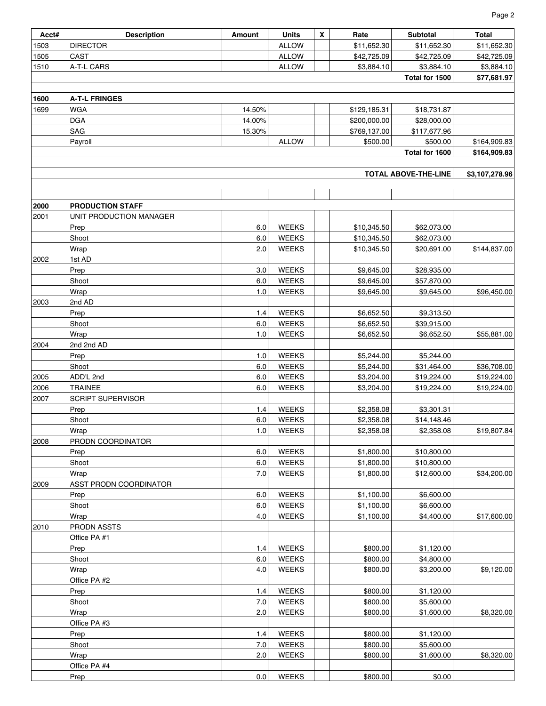| Page 2 |
|--------|
| Total  |
|        |

| Acct# | <b>Description</b>       | Amount | Units        | X. | Rate         | <b>Subtotal</b>           | Total          |
|-------|--------------------------|--------|--------------|----|--------------|---------------------------|----------------|
| 1503  | <b>DIRECTOR</b>          |        | <b>ALLOW</b> |    | \$11,652.30  | \$11,652.30               | \$11,652.30    |
| 1505  | CAST                     |        | <b>ALLOW</b> |    | \$42,725.09  | \$42,725.09               | \$42,725.09    |
| 1510  | A-T-L CARS               |        | <b>ALLOW</b> |    | \$3,884.10   | \$3,884.10                | \$3,884.10     |
|       |                          |        |              |    |              | Total for 1500            | \$77,681.97    |
|       |                          |        |              |    |              |                           |                |
| 1600  | <b>A-T-L FRINGES</b>     |        |              |    |              |                           |                |
| 1699  | <b>WGA</b>               | 14.50% |              |    | \$129,185.31 | \$18,731.87               |                |
|       | <b>DGA</b>               | 14.00% |              |    | \$200,000.00 | \$28,000.00               |                |
|       | SAG                      | 15.30% |              |    | \$769,137.00 | \$117,677.96              |                |
|       | Payroll                  |        | <b>ALLOW</b> |    | \$500.00     | \$500.00                  | \$164,909.83   |
|       |                          |        |              |    |              | Total for 1600            | \$164,909.83   |
|       |                          |        |              |    |              | TOTAL ABOVE-THE-LINE      | \$3,107,278.96 |
|       |                          |        |              |    |              |                           |                |
|       |                          |        |              |    |              |                           |                |
| 2000  | <b>PRODUCTION STAFF</b>  |        |              |    |              |                           |                |
| 2001  | UNIT PRODUCTION MANAGER  |        |              |    |              |                           |                |
|       | Prep                     | 6.0    | <b>WEEKS</b> |    | \$10,345.50  | \$62,073.00               |                |
|       | Shoot                    | 6.0    | <b>WEEKS</b> |    | \$10,345.50  | \$62,073.00               |                |
|       | Wrap                     | 2.0    | <b>WEEKS</b> |    | \$10,345.50  | \$20,691.00               | \$144,837.00   |
| 2002  | 1st AD                   |        |              |    |              |                           |                |
|       | Prep                     | 3.0    | <b>WEEKS</b> |    | \$9,645.00   | \$28,935.00               |                |
|       | Shoot                    | 6.0    | <b>WEEKS</b> |    | \$9,645.00   | \$57,870.00               |                |
|       | Wrap                     | 1.0    | <b>WEEKS</b> |    | \$9,645.00   | \$9,645.00                | \$96,450.00    |
| 2003  | 2nd AD                   |        |              |    |              |                           |                |
|       | Prep                     | 1.4    | <b>WEEKS</b> |    | \$6,652.50   | \$9,313.50                |                |
|       | Shoot                    | 6.0    | <b>WEEKS</b> |    | \$6,652.50   | \$39,915.00               |                |
|       | Wrap                     | 1.0    | <b>WEEKS</b> |    | \$6,652.50   | \$6,652.50                | \$55,881.00    |
| 2004  | 2nd 2nd AD               |        |              |    |              |                           |                |
|       | Prep                     | 1.0    | <b>WEEKS</b> |    | \$5,244.00   | \$5,244.00                |                |
|       | Shoot                    | 6.0    | <b>WEEKS</b> |    | \$5,244.00   | \$31,464.00               | \$36,708.00    |
| 2005  | ADD'L 2nd                | 6.0    | <b>WEEKS</b> |    | \$3,204.00   | \$19,224.00               | \$19,224.00    |
| 2006  | <b>TRAINEE</b>           | 6.0    | <b>WEEKS</b> |    | \$3,204.00   | \$19,224.00               | \$19,224.00    |
| 2007  | <b>SCRIPT SUPERVISOR</b> |        |              |    |              |                           |                |
|       | Prep                     | 1.4    | <b>WEEKS</b> |    | \$2,358.08   | \$3,301.31                |                |
|       | Shoot                    | 6.0    | <b>WEEKS</b> |    | \$2,358.08   |                           |                |
|       | Wrap                     | 1.0    | <b>WEEKS</b> |    | \$2,358.08   | \$14,148.46<br>\$2.358.08 | \$19,807.84    |
| 2008  | PRODN COORDINATOR        |        |              |    |              |                           |                |
|       | Prep                     | 6.0    | <b>WEEKS</b> |    | \$1,800.00   | \$10,800.00               |                |
|       |                          |        |              |    |              |                           |                |
|       | Shoot                    | 6.0    | <b>WEEKS</b> |    | \$1,800.00   | \$10,800.00               |                |
|       | Wrap                     | 7.0    | <b>WEEKS</b> |    | \$1,800.00   | \$12,600.00               | \$34,200.00    |
| 2009  | ASST PRODN COORDINATOR   |        |              |    |              |                           |                |
|       | Prep                     | 6.0    | <b>WEEKS</b> |    | \$1,100.00   | \$6,600.00                |                |
|       | Shoot                    | 6.0    | <b>WEEKS</b> |    | \$1,100.00   | \$6,600.00                |                |
|       | Wrap                     | 4.0    | <b>WEEKS</b> |    | \$1,100.00   | \$4,400.00                | \$17,600.00    |
| 2010  | PRODN ASSTS              |        |              |    |              |                           |                |
|       | Office PA #1             |        |              |    |              |                           |                |
|       | Prep                     | 1.4    | <b>WEEKS</b> |    | \$800.00     | \$1,120.00                |                |
|       | Shoot                    | 6.0    | <b>WEEKS</b> |    | \$800.00     | \$4,800.00                |                |
|       | Wrap                     | 4.0    | <b>WEEKS</b> |    | \$800.00     | \$3,200.00                | \$9,120.00     |
|       | Office PA #2             |        |              |    |              |                           |                |
|       | Prep                     | 1.4    | <b>WEEKS</b> |    | \$800.00     | \$1,120.00                |                |
|       | Shoot                    | 7.0    | <b>WEEKS</b> |    | \$800.00     | \$5,600.00                |                |
|       | Wrap                     | 2.0    | <b>WEEKS</b> |    | \$800.00     | \$1,600.00                | \$8,320.00     |
|       | Office PA #3             |        |              |    |              |                           |                |
|       | Prep                     | 1.4    | <b>WEEKS</b> |    | \$800.00     | \$1,120.00                |                |
|       | Shoot                    | 7.0    | <b>WEEKS</b> |    | \$800.00     | \$5,600.00                |                |
|       | Wrap                     | 2.0    | <b>WEEKS</b> |    | \$800.00     | \$1,600.00                | \$8,320.00     |
|       | Office PA #4             |        |              |    |              |                           |                |
|       | Prep                     | 0.0    | <b>WEEKS</b> |    | \$800.00     | \$0.00                    |                |

Ť

Ŧ T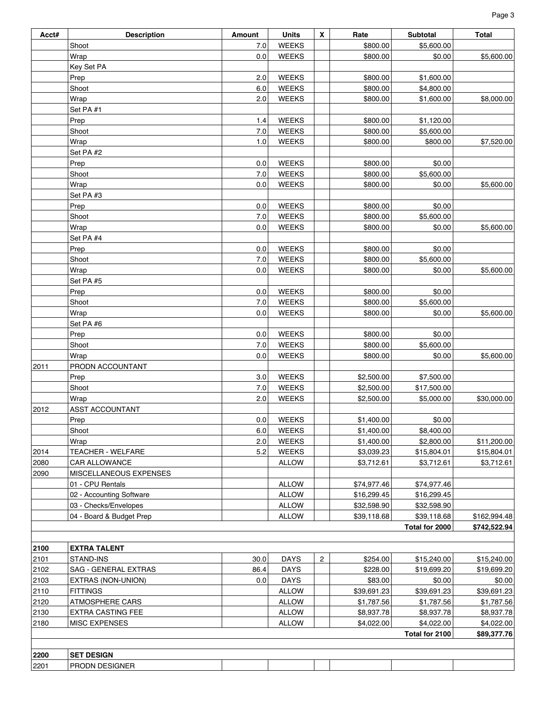| Acct# | <b>Description</b>       | Amount | <b>Units</b> | $\pmb{\mathsf{X}}$ | Rate        | <b>Subtotal</b> | <b>Total</b> |
|-------|--------------------------|--------|--------------|--------------------|-------------|-----------------|--------------|
|       | Shoot                    | 7.0    | <b>WEEKS</b> |                    | \$800.00    | \$5,600.00      |              |
|       | Wrap                     | 0.0    | <b>WEEKS</b> |                    | \$800.00    | \$0.00          | \$5,600.00   |
|       | Key Set PA               |        |              |                    |             |                 |              |
|       | Prep                     | 2.0    | <b>WEEKS</b> |                    | \$800.00    | \$1,600.00      |              |
|       | Shoot                    | 6.0    | <b>WEEKS</b> |                    | \$800.00    | \$4,800.00      |              |
|       | Wrap                     | 2.0    | <b>WEEKS</b> |                    | \$800.00    | \$1,600.00      | \$8,000.00   |
|       | Set PA #1                |        |              |                    |             |                 |              |
|       | Prep                     | 1.4    | <b>WEEKS</b> |                    | \$800.00    | \$1,120.00      |              |
|       | Shoot                    | 7.0    | <b>WEEKS</b> |                    | \$800.00    | \$5,600.00      |              |
|       | Wrap                     | 1.0    | <b>WEEKS</b> |                    | \$800.00    | \$800.00        | \$7,520.00   |
|       | Set PA #2                |        |              |                    |             |                 |              |
|       | Prep                     | 0.0    | <b>WEEKS</b> |                    | \$800.00    | \$0.00          |              |
|       | Shoot                    | 7.0    | <b>WEEKS</b> |                    | \$800.00    | \$5,600.00      |              |
|       | Wrap                     | 0.0    | <b>WEEKS</b> |                    | \$800.00    | \$0.00          | \$5,600.00   |
|       | Set PA #3                |        |              |                    |             |                 |              |
|       | Prep                     | 0.0    | <b>WEEKS</b> |                    | \$800.00    | \$0.00          |              |
|       | Shoot                    | 7.0    | <b>WEEKS</b> |                    | \$800.00    | \$5,600.00      |              |
|       | Wrap                     | 0.0    | <b>WEEKS</b> |                    | \$800.00    | \$0.00          | \$5,600.00   |
|       | Set PA #4                |        |              |                    |             |                 |              |
|       | Prep                     | 0.0    | <b>WEEKS</b> |                    | \$800.00    | \$0.00          |              |
|       | Shoot                    | 7.0    | <b>WEEKS</b> |                    | \$800.00    | \$5,600.00      |              |
|       | Wrap                     | 0.0    | <b>WEEKS</b> |                    | \$800.00    | \$0.00          | \$5,600.00   |
|       | Set PA #5                |        |              |                    |             |                 |              |
|       | Prep                     | 0.0    | <b>WEEKS</b> |                    | \$800.00    | \$0.00          |              |
|       | Shoot                    | 7.0    | <b>WEEKS</b> |                    | \$800.00    | \$5,600.00      |              |
|       | Wrap                     | 0.0    | <b>WEEKS</b> |                    | \$800.00    | \$0.00          | \$5,600.00   |
|       | Set PA #6                |        |              |                    |             |                 |              |
|       | Prep                     | 0.0    | <b>WEEKS</b> |                    | \$800.00    | \$0.00          |              |
|       | Shoot                    | 7.0    | <b>WEEKS</b> |                    | \$800.00    | \$5,600.00      |              |
|       | Wrap                     | 0.0    | <b>WEEKS</b> |                    | \$800.00    | \$0.00          | \$5,600.00   |
| 2011  | PRODN ACCOUNTANT         |        |              |                    |             |                 |              |
|       | Prep                     | 3.0    | <b>WEEKS</b> |                    | \$2,500.00  | \$7,500.00      |              |
|       | Shoot                    | 7.0    | <b>WEEKS</b> |                    | \$2,500.00  | \$17,500.00     |              |
|       | Wrap                     | 2.0    | <b>WEEKS</b> |                    | \$2,500.00  | \$5,000.00      | \$30,000.00  |
| 2012  | <b>ASST ACCOUNTANT</b>   |        |              |                    |             |                 |              |
|       | Prep                     | 0.0    | <b>WEEKS</b> |                    | \$1,400.00  | \$0.00          |              |
|       | Shoot                    | 6.0    | <b>WEEKS</b> |                    | \$1,400.00  | \$8,400.00      |              |
|       | Wrap                     | 2.0    | <b>WEEKS</b> |                    | \$1,400.00  | \$2,800.00      | \$11,200.00  |
| 2014  | <b>TEACHER - WELFARE</b> | 5.2    | <b>WEEKS</b> |                    | \$3,039.23  | \$15,804.01     | \$15,804.01  |
| 2080  | <b>CAR ALLOWANCE</b>     |        | <b>ALLOW</b> |                    | \$3,712.61  | \$3,712.61      | \$3,712.61   |
| 2090  | MISCELLANEOUS EXPENSES   |        |              |                    |             |                 |              |
|       | 01 - CPU Rentals         |        | <b>ALLOW</b> |                    | \$74,977.46 | \$74,977.46     |              |
|       | 02 - Accounting Software |        | <b>ALLOW</b> |                    | \$16,299.45 | \$16,299.45     |              |
|       | 03 - Checks/Envelopes    |        | <b>ALLOW</b> |                    | \$32,598.90 | \$32,598.90     |              |
|       | 04 - Board & Budget Prep |        | <b>ALLOW</b> |                    | \$39,118.68 | \$39,118.68     | \$162,994.48 |
|       |                          |        |              |                    |             | Total for 2000  | \$742,522.94 |
|       |                          |        |              |                    |             |                 |              |
| 2100  | <b>EXTRA TALENT</b>      |        |              |                    |             |                 |              |
| 2101  | STAND-INS                | 30.0   | <b>DAYS</b>  | $\overline{2}$     | \$254.00    | \$15,240.00     | \$15,240.00  |
| 2102  | SAG - GENERAL EXTRAS     | 86.4   | <b>DAYS</b>  |                    | \$228.00    | \$19,699.20     | \$19,699.20  |
| 2103  | EXTRAS (NON-UNION)       | 0.0    | <b>DAYS</b>  |                    | \$83.00     | \$0.00          | \$0.00       |
| 2110  | <b>FITTINGS</b>          |        | <b>ALLOW</b> |                    | \$39,691.23 | \$39,691.23     | \$39,691.23  |
| 2120  | <b>ATMOSPHERE CARS</b>   |        | <b>ALLOW</b> |                    | \$1,787.56  | \$1,787.56      | \$1,787.56   |
| 2130  | <b>EXTRA CASTING FEE</b> |        | <b>ALLOW</b> |                    | \$8,937.78  | \$8,937.78      | \$8,937.78   |
| 2180  | <b>MISC EXPENSES</b>     |        | <b>ALLOW</b> |                    | \$4,022.00  | \$4,022.00      | \$4,022.00   |
|       |                          |        |              |                    |             | Total for 2100  | \$89,377.76  |
|       |                          |        |              |                    |             |                 |              |
| 2200  | <b>SET DESIGN</b>        |        |              |                    |             |                 |              |
| 2201  | <b>PRODN DESIGNER</b>    |        |              |                    |             |                 |              |
|       |                          |        |              |                    |             |                 |              |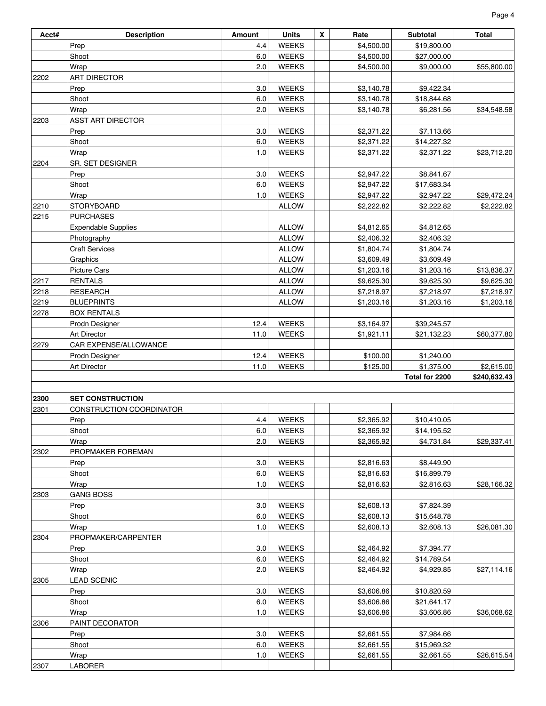| Acct# | <b>Description</b>         | <b>Amount</b> | <b>Units</b> | $\boldsymbol{x}$ | Rate       | <b>Subtotal</b> | Total        |
|-------|----------------------------|---------------|--------------|------------------|------------|-----------------|--------------|
|       | Prep                       | 4.4           | <b>WEEKS</b> |                  | \$4,500.00 | \$19,800.00     |              |
|       | Shoot                      | 6.0           | <b>WEEKS</b> |                  | \$4,500.00 | \$27,000.00     |              |
|       | Wrap                       | 2.0           | <b>WEEKS</b> |                  | \$4,500.00 | \$9,000.00      | \$55,800.00  |
| 2202  | <b>ART DIRECTOR</b>        |               |              |                  |            |                 |              |
|       | Prep                       | 3.0           | <b>WEEKS</b> |                  | \$3,140.78 | \$9,422.34      |              |
|       | Shoot                      | 6.0           | <b>WEEKS</b> |                  | \$3,140.78 | \$18,844.68     |              |
|       | Wrap                       | 2.0           | <b>WEEKS</b> |                  | \$3,140.78 | \$6,281.56      | \$34,548.58  |
| 2203  | <b>ASST ART DIRECTOR</b>   |               |              |                  |            |                 |              |
|       | Prep                       | 3.0           | <b>WEEKS</b> |                  | \$2,371.22 | \$7,113.66      |              |
|       | Shoot                      | 6.0           | <b>WEEKS</b> |                  | \$2,371.22 | \$14,227.32     |              |
|       | Wrap                       | 1.0           | <b>WEEKS</b> |                  | \$2,371.22 | \$2,371.22      | \$23,712.20  |
| 2204  | SR. SET DESIGNER           |               |              |                  |            |                 |              |
|       | Prep                       | 3.0           | <b>WEEKS</b> |                  | \$2,947.22 | \$8,841.67      |              |
|       | Shoot                      | 6.0           | <b>WEEKS</b> |                  | \$2,947.22 | \$17,683.34     |              |
|       | Wrap                       | 1.0           | <b>WEEKS</b> |                  | \$2,947.22 | \$2,947.22      | \$29,472.24  |
| 2210  | <b>STORYBOARD</b>          |               | <b>ALLOW</b> |                  | \$2,222.82 | \$2,222.82      | \$2,222.82   |
| 2215  | <b>PURCHASES</b>           |               |              |                  |            |                 |              |
|       | <b>Expendable Supplies</b> |               | <b>ALLOW</b> |                  | \$4,812.65 | \$4,812.65      |              |
|       | Photography                |               | <b>ALLOW</b> |                  | \$2,406.32 | \$2,406.32      |              |
|       | <b>Craft Services</b>      |               | <b>ALLOW</b> |                  | \$1,804.74 | \$1,804.74      |              |
|       | Graphics                   |               | <b>ALLOW</b> |                  | \$3,609.49 | \$3,609.49      |              |
|       | <b>Picture Cars</b>        |               | <b>ALLOW</b> |                  | \$1,203.16 | \$1,203.16      | \$13,836.37  |
| 2217  | <b>RENTALS</b>             |               | <b>ALLOW</b> |                  | \$9,625.30 | \$9,625.30      | \$9,625.30   |
| 2218  | <b>RESEARCH</b>            |               | <b>ALLOW</b> |                  | \$7,218.97 | \$7,218.97      | \$7,218.97   |
| 2219  | <b>BLUEPRINTS</b>          |               | <b>ALLOW</b> |                  | \$1,203.16 | \$1,203.16      | \$1,203.16   |
| 2278  | <b>BOX RENTALS</b>         |               |              |                  |            |                 |              |
|       | Prodn Designer             | 12.4          | <b>WEEKS</b> |                  | \$3,164.97 | \$39,245.57     |              |
|       | <b>Art Director</b>        | 11.0          | <b>WEEKS</b> |                  | \$1,921.11 | \$21,132.23     | \$60,377.80  |
| 2279  | CAR EXPENSE/ALLOWANCE      |               |              |                  |            |                 |              |
|       | Prodn Designer             | 12.4          | <b>WEEKS</b> |                  | \$100.00   | \$1,240.00      |              |
|       | Art Director               | 11.0          | <b>WEEKS</b> |                  | \$125.00   | \$1,375.00      | \$2,615.00   |
|       |                            |               |              |                  |            | Total for 2200  | \$240,632.43 |
|       |                            |               |              |                  |            |                 |              |
| 2300  | <b>SET CONSTRUCTION</b>    |               |              |                  |            |                 |              |
| 2301  | CONSTRUCTION COORDINATOR   |               |              |                  |            |                 |              |
|       | Prep                       | 4.4           | <b>WEEKS</b> |                  | \$2,365.92 | \$10,410.05     |              |
|       | Shoot                      | 6.0           | <b>WEEKS</b> |                  | \$2,365.92 | \$14,195.52     |              |
|       | Wrap                       | 2.0           | <b>WEEKS</b> |                  | \$2,365.92 | \$4,731.84      | \$29,337.41  |
| 2302  | PROPMAKER FOREMAN          |               |              |                  |            |                 |              |
|       | Prep                       | 3.0           | <b>WEEKS</b> |                  | \$2,816.63 | \$8,449.90      |              |
|       | Shoot                      | 6.0           | <b>WEEKS</b> |                  | \$2,816.63 | \$16,899.79     |              |
|       | Wrap                       | 1.0           | <b>WEEKS</b> |                  | \$2,816.63 | \$2,816.63      | \$28,166.32  |
| 2303  | <b>GANG BOSS</b>           |               |              |                  |            |                 |              |
|       | Prep                       | 3.0           | WEEKS        |                  | \$2,608.13 | \$7,824.39      |              |
|       | Shoot                      | 6.0           | <b>WEEKS</b> |                  | \$2,608.13 | \$15,648.78     |              |
|       | Wrap                       | 1.0           | <b>WEEKS</b> |                  | \$2,608.13 | \$2,608.13      | \$26,081.30  |
| 2304  | PROPMAKER/CARPENTER        |               |              |                  |            |                 |              |
|       | Prep                       | 3.0           | <b>WEEKS</b> |                  | \$2,464.92 | \$7,394.77      |              |
|       | Shoot                      | 6.0           | <b>WEEKS</b> |                  | \$2,464.92 | \$14,789.54     |              |
|       | Wrap                       | 2.0           | <b>WEEKS</b> |                  | \$2,464.92 | \$4,929.85      | \$27,114.16  |
| 2305  | <b>LEAD SCENIC</b>         |               |              |                  |            |                 |              |
|       | Prep                       | 3.0           | <b>WEEKS</b> |                  | \$3,606.86 | \$10,820.59     |              |
|       | Shoot                      | 6.0           | <b>WEEKS</b> |                  | \$3,606.86 | \$21,641.17     |              |
|       | Wrap                       | 1.0           | <b>WEEKS</b> |                  | \$3,606.86 | \$3,606.86      | \$36,068.62  |
| 2306  | PAINT DECORATOR            |               |              |                  |            |                 |              |
|       | Prep                       | 3.0           | <b>WEEKS</b> |                  | \$2,661.55 | \$7,984.66      |              |
|       | Shoot                      | 6.0           | <b>WEEKS</b> |                  | \$2,661.55 | \$15,969.32     |              |
|       | Wrap                       | 1.0           | <b>WEEKS</b> |                  | \$2,661.55 | \$2,661.55      | \$26,615.54  |
| 2307  | LABORER                    |               |              |                  |            |                 |              |

Page 4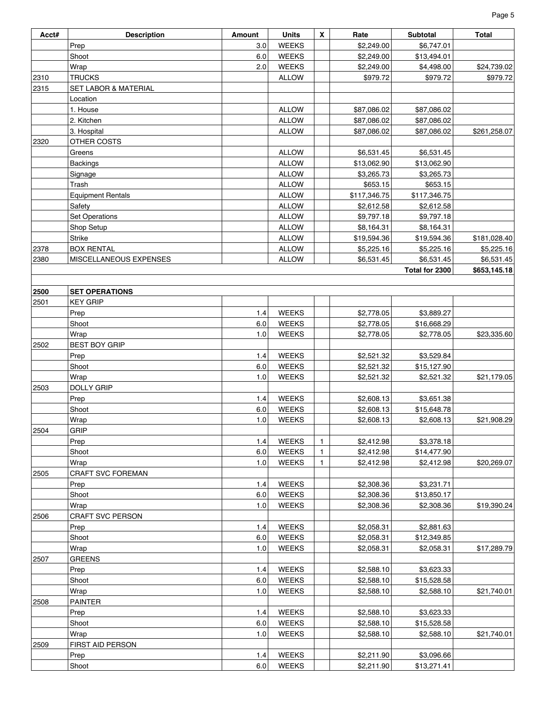| Acct# | <b>Description</b>              | Amount | <b>Units</b> | X            | Rate         | <b>Subtotal</b> | <b>Total</b> |
|-------|---------------------------------|--------|--------------|--------------|--------------|-----------------|--------------|
|       | Prep                            | 3.0    | <b>WEEKS</b> |              | \$2,249.00   | \$6,747.01      |              |
|       | Shoot                           | 6.0    | <b>WEEKS</b> |              | \$2,249.00   | \$13,494.01     |              |
|       | Wrap                            | 2.0    | <b>WEEKS</b> |              | \$2,249.00   | \$4,498.00      | \$24,739.02  |
| 2310  | <b>TRUCKS</b>                   |        | <b>ALLOW</b> |              | \$979.72     | \$979.72        | \$979.72     |
| 2315  | <b>SET LABOR &amp; MATERIAL</b> |        |              |              |              |                 |              |
|       | Location                        |        |              |              |              |                 |              |
|       | 1. House                        |        | <b>ALLOW</b> |              | \$87,086.02  | \$87,086.02     |              |
|       | 2. Kitchen                      |        | <b>ALLOW</b> |              | \$87,086.02  | \$87,086.02     |              |
|       | 3. Hospital                     |        | <b>ALLOW</b> |              | \$87,086.02  | \$87,086.02     | \$261,258.07 |
| 2320  | OTHER COSTS                     |        |              |              |              |                 |              |
|       | Greens                          |        | <b>ALLOW</b> |              | \$6,531.45   | \$6,531.45      |              |
|       | <b>Backings</b>                 |        | <b>ALLOW</b> |              | \$13,062.90  | \$13,062.90     |              |
|       | Signage                         |        | <b>ALLOW</b> |              | \$3,265.73   | \$3,265.73      |              |
|       | Trash                           |        | <b>ALLOW</b> |              | \$653.15     | \$653.15        |              |
|       | <b>Equipment Rentals</b>        |        | <b>ALLOW</b> |              | \$117,346.75 | \$117,346.75    |              |
|       | Safety                          |        | <b>ALLOW</b> |              | \$2,612.58   | \$2,612.58      |              |
|       | Set Operations                  |        | <b>ALLOW</b> |              | \$9,797.18   | \$9,797.18      |              |
|       | Shop Setup                      |        | <b>ALLOW</b> |              | \$8,164.31   | \$8,164.31      |              |
|       | <b>Strike</b>                   |        | <b>ALLOW</b> |              | \$19,594.36  | \$19,594.36     | \$181,028.40 |
| 2378  | <b>BOX RENTAL</b>               |        | <b>ALLOW</b> |              | \$5,225.16   | \$5,225.16      | \$5,225.16   |
| 2380  | MISCELLANEOUS EXPENSES          |        | <b>ALLOW</b> |              | \$6,531.45   | \$6,531.45      | \$6,531.45   |
|       |                                 |        |              |              |              | Total for 2300  | \$653,145.18 |
|       |                                 |        |              |              |              |                 |              |
| 2500  | <b>SET OPERATIONS</b>           |        |              |              |              |                 |              |
| 2501  | <b>KEY GRIP</b>                 |        |              |              |              |                 |              |
|       | Prep                            | 1.4    | <b>WEEKS</b> |              | \$2,778.05   | \$3,889.27      |              |
|       | Shoot                           | 6.0    | WEEKS        |              | \$2,778.05   | \$16,668.29     |              |
|       | Wrap                            | 1.0    | <b>WEEKS</b> |              | \$2,778.05   | \$2,778.05      | \$23,335.60  |
| 2502  | <b>BEST BOY GRIP</b>            |        |              |              |              |                 |              |
|       | Prep                            | 1.4    | <b>WEEKS</b> |              | \$2,521.32   | \$3,529.84      |              |
|       | Shoot                           | 6.0    | WEEKS        |              | \$2,521.32   | \$15,127.90     |              |
|       | Wrap                            | 1.0    | <b>WEEKS</b> |              | \$2,521.32   | \$2,521.32      | \$21,179.05  |
| 2503  | <b>DOLLY GRIP</b>               |        |              |              |              |                 |              |
|       | Prep                            | 1.4    | WEEKS        |              | \$2,608.13   | \$3,651.38      |              |
|       | Shoot                           | 6.0    | WEEKS        |              | \$2,608.13   | \$15,648.78     |              |
|       | Wrap                            | 1.0    | <b>WEEKS</b> |              | \$2,608.13   | \$2,608.13      | \$21,908.29  |
| 2504  | <b>GRIP</b>                     |        |              |              |              |                 |              |
|       | Prep                            | 1.4    | <b>WEEKS</b> | $\mathbf{1}$ | \$2,412.98   | \$3,378.18      |              |
|       | Shoot                           | 6.0    | <b>WEEKS</b> | 1.           | \$2,412.98   | \$14,477.90     |              |
|       | Wrap                            | 1.0    | <b>WEEKS</b> | 1            | \$2,412.98   | \$2,412.98      | \$20,269.07  |
| 2505  | <b>CRAFT SVC FOREMAN</b>        |        |              |              |              |                 |              |
|       | Prep                            | 1.4    | <b>WEEKS</b> |              | \$2,308.36   | \$3,231.71      |              |
|       | Shoot                           | 6.0    | <b>WEEKS</b> |              | \$2,308.36   | \$13,850.17     |              |
|       | Wrap                            | 1.0    | WEEKS        |              | \$2,308.36   | \$2,308.36      | \$19,390.24  |
| 2506  | CRAFT SVC PERSON                |        |              |              |              |                 |              |
|       | Prep                            | 1.4    | <b>WEEKS</b> |              | \$2,058.31   | \$2,881.63      |              |
|       | Shoot                           | 6.0    | <b>WEEKS</b> |              | \$2,058.31   | \$12,349.85     |              |
|       | Wrap                            | 1.0    | <b>WEEKS</b> |              | \$2,058.31   | \$2,058.31      | \$17,289.79  |
| 2507  | <b>GREENS</b>                   |        |              |              |              |                 |              |
|       | Prep                            | 1.4    | <b>WEEKS</b> |              | \$2,588.10   | \$3,623.33      |              |
|       | Shoot                           | 6.0    | <b>WEEKS</b> |              | \$2,588.10   | \$15,528.58     |              |
|       | Wrap                            | 1.0    | <b>WEEKS</b> |              | \$2,588.10   | \$2,588.10      | \$21,740.01  |
| 2508  | <b>PAINTER</b>                  |        |              |              |              |                 |              |
|       | Prep                            | 1.4    | <b>WEEKS</b> |              | \$2,588.10   | \$3,623.33      |              |
|       | Shoot                           | 6.0    | <b>WEEKS</b> |              | \$2,588.10   | \$15,528.58     |              |
|       | Wrap                            | 1.0    | WEEKS        |              | \$2,588.10   | \$2,588.10      | \$21,740.01  |
| 2509  | <b>FIRST AID PERSON</b><br>Prep | 1.4    | <b>WEEKS</b> |              | \$2,211.90   | \$3,096.66      |              |
|       | Shoot                           | 6.0    | WEEKS        |              | \$2,211.90   | \$13,271.41     |              |
|       |                                 |        |              |              |              |                 |              |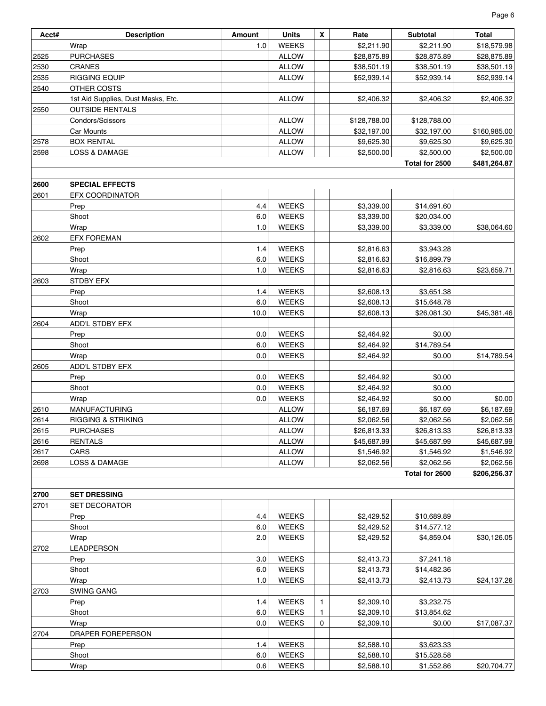| Acct# | <b>Description</b>                 | Amount | <b>Units</b> | $\boldsymbol{x}$ | Rate         | Subtotal       | Total        |
|-------|------------------------------------|--------|--------------|------------------|--------------|----------------|--------------|
|       | Wrap                               | 1.0    | <b>WEEKS</b> |                  | \$2,211.90   | \$2,211.90     | \$18,579.98  |
| 2525  | <b>PURCHASES</b>                   |        | <b>ALLOW</b> |                  | \$28,875.89  | \$28,875.89    | \$28,875.89  |
| 2530  | CRANES                             |        | <b>ALLOW</b> |                  | \$38,501.19  | \$38,501.19    | \$38,501.19  |
| 2535  | <b>RIGGING EQUIP</b>               |        | <b>ALLOW</b> |                  | \$52,939.14  | \$52,939.14    | \$52,939.14  |
| 2540  | OTHER COSTS                        |        |              |                  |              |                |              |
|       | 1st Aid Supplies, Dust Masks, Etc. |        | <b>ALLOW</b> |                  | \$2,406.32   | \$2,406.32     | \$2,406.32   |
| 2550  | <b>OUTSIDE RENTALS</b>             |        |              |                  |              |                |              |
|       | Condors/Scissors                   |        | <b>ALLOW</b> |                  | \$128,788.00 | \$128,788.00   |              |
|       | Car Mounts                         |        | <b>ALLOW</b> |                  | \$32,197.00  | \$32,197.00    | \$160,985.00 |
| 2578  | <b>BOX RENTAL</b>                  |        | <b>ALLOW</b> |                  | \$9,625.30   | \$9,625.30     | \$9,625.30   |
| 2598  | LOSS & DAMAGE                      |        | <b>ALLOW</b> |                  | \$2,500.00   | \$2,500.00     | \$2,500.00   |
|       |                                    |        |              |                  |              | Total for 2500 | \$481,264.87 |
|       |                                    |        |              |                  |              |                |              |
| 2600  | <b>SPECIAL EFFECTS</b>             |        |              |                  |              |                |              |
| 2601  | EFX COORDINATOR                    |        |              |                  |              |                |              |
|       | Prep                               | 4.4    | <b>WEEKS</b> |                  | \$3,339.00   | \$14,691.60    |              |
|       | Shoot                              | 6.0    | <b>WEEKS</b> |                  | \$3,339.00   | \$20,034.00    |              |
|       | Wrap                               | 1.0    | <b>WEEKS</b> |                  | \$3,339.00   | \$3,339.00     | \$38,064.60  |
| 2602  | <b>EFX FOREMAN</b>                 |        |              |                  |              |                |              |
|       | Prep                               | 1.4    | <b>WEEKS</b> |                  | \$2,816.63   | \$3,943.28     |              |
|       | Shoot                              | 6.0    | <b>WEEKS</b> |                  | \$2,816.63   | \$16,899.79    |              |
|       | Wrap                               | 1.0    | <b>WEEKS</b> |                  | \$2,816.63   | \$2,816.63     | \$23,659.71  |
| 2603  | STDBY EFX                          |        |              |                  |              |                |              |
|       | Prep                               | 1.4    | <b>WEEKS</b> |                  | \$2,608.13   | \$3,651.38     |              |
|       | Shoot                              | 6.0    | <b>WEEKS</b> |                  | \$2,608.13   | \$15,648.78    |              |
|       | Wrap                               | 10.0   | <b>WEEKS</b> |                  | \$2,608.13   | \$26,081.30    | \$45,381.46  |
| 2604  | ADD'L STDBY EFX                    |        |              |                  |              |                |              |
|       | Prep                               | 0.0    | <b>WEEKS</b> |                  | \$2,464.92   | \$0.00         |              |
|       | Shoot                              | 6.0    | <b>WEEKS</b> |                  | \$2,464.92   | \$14,789.54    |              |
|       | Wrap                               | 0.0    | <b>WEEKS</b> |                  | \$2,464.92   | \$0.00         | \$14,789.54  |
| 2605  | ADD'L STDBY EFX                    |        |              |                  |              |                |              |
|       | Prep                               | 0.0    | <b>WEEKS</b> |                  | \$2,464.92   | \$0.00         |              |
|       | Shoot                              | 0.0    | <b>WEEKS</b> |                  | \$2,464.92   | \$0.00         |              |
|       | Wrap                               | 0.0    | <b>WEEKS</b> |                  | \$2,464.92   | \$0.00         | \$0.00       |
| 2610  | MANUFACTURING                      |        | <b>ALLOW</b> |                  | \$6,187.69   | \$6,187.69     | \$6,187.69   |
| 2614  | <b>RIGGING &amp; STRIKING</b>      |        | <b>ALLOW</b> |                  | \$2,062.56   | \$2,062.56     | \$2,062.56   |
| 2615  | <b>PURCHASES</b>                   |        | <b>ALLOW</b> |                  | \$26,813.33  | \$26,813.33    | \$26,813.33  |
| 2616  | <b>RENTALS</b>                     |        | <b>ALLOW</b> |                  | \$45,687.99  | \$45,687.99    | \$45,687.99  |
| 2617  | CARS                               |        | <b>ALLOW</b> |                  | \$1,546.92   | \$1,546.92     | \$1,546.92   |
| 2698  | LOSS & DAMAGE                      |        | <b>ALLOW</b> |                  | \$2,062.56   | \$2,062.56     | \$2,062.56   |
|       |                                    |        |              |                  |              | Total for 2600 | \$206,256.37 |
|       |                                    |        |              |                  |              |                |              |
| 2700  | <b>SET DRESSING</b>                |        |              |                  |              |                |              |
| 2701  | <b>SET DECORATOR</b>               |        |              |                  |              |                |              |
|       | Prep                               | 4.4    | <b>WEEKS</b> |                  | \$2,429.52   | \$10,689.89    |              |
|       | Shoot                              | 6.0    | <b>WEEKS</b> |                  | \$2,429.52   | \$14,577.12    |              |
|       | Wrap                               | 2.0    | <b>WEEKS</b> |                  | \$2,429.52   | \$4,859.04     |              |
| 2702  | LEADPERSON                         |        |              |                  |              |                | \$30,126.05  |
|       | Prep                               | 3.0    | <b>WEEKS</b> |                  |              |                |              |
|       |                                    |        |              |                  | \$2,413.73   | \$7,241.18     |              |
|       | Shoot                              | 6.0    | <b>WEEKS</b> |                  | \$2,413.73   | \$14,482.36    |              |
|       | Wrap                               | 1.0    | <b>WEEKS</b> |                  | \$2,413.73   | \$2,413.73     | \$24,137.26  |
| 2703  | SWING GANG                         |        |              |                  |              |                |              |
|       | Prep                               | 1.4    | <b>WEEKS</b> | $\mathbf{1}$     | \$2,309.10   | \$3,232.75     |              |
|       | Shoot                              | 6.0    | <b>WEEKS</b> | 1                | \$2,309.10   | \$13,854.62    |              |
|       | Wrap                               | 0.0    | <b>WEEKS</b> | 0                | \$2,309.10   | \$0.00         | \$17,087.37  |
| 2704  | DRAPER FOREPERSON                  |        |              |                  |              |                |              |
|       | Prep                               | 1.4    | <b>WEEKS</b> |                  | \$2,588.10   | \$3,623.33     |              |
|       | Shoot                              | 6.0    | <b>WEEKS</b> |                  | \$2,588.10   | \$15,528.58    |              |
|       | Wrap                               | 0.6    | <b>WEEKS</b> |                  | \$2,588.10   | \$1,552.86     | \$20,704.77  |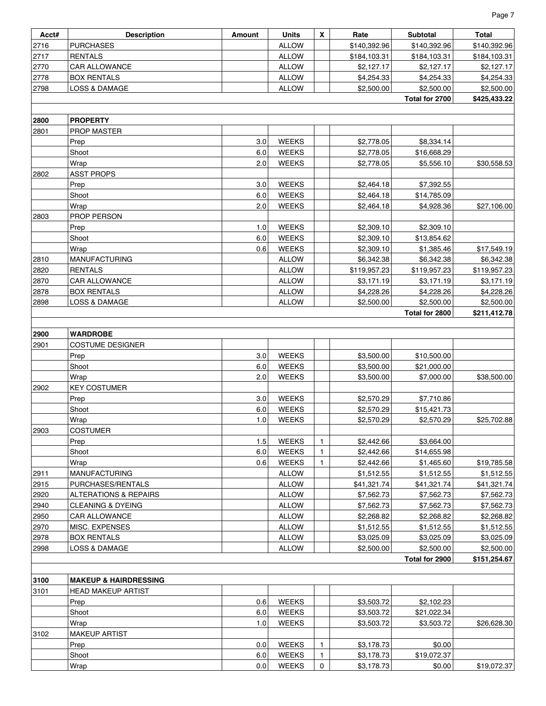| Acct#        | <b>Description</b>                            | Amount | <b>Units</b>                 | $\mathsf{x}$ | Rate                     | <b>Subtotal</b>          | <b>Total</b>             |
|--------------|-----------------------------------------------|--------|------------------------------|--------------|--------------------------|--------------------------|--------------------------|
| 2716         | <b>PURCHASES</b>                              |        | <b>ALLOW</b>                 |              | \$140,392.96             | \$140,392.96             | \$140,392.96             |
| 2717         | <b>RENTALS</b>                                |        | <b>ALLOW</b>                 |              | \$184,103.31             | \$184,103.31             | \$184,103.31             |
| 2770         | CAR ALLOWANCE                                 |        | <b>ALLOW</b>                 |              | \$2,127.17               | \$2,127.17               | \$2,127.17               |
| 2778         | <b>BOX RENTALS</b>                            |        | <b>ALLOW</b>                 |              | \$4,254.33               | \$4,254.33               | \$4,254.33               |
| 2798         | LOSS & DAMAGE                                 |        | <b>ALLOW</b>                 |              | \$2,500.00               | \$2,500.00               | \$2,500.00               |
|              |                                               |        |                              |              |                          | Total for 2700           | \$425,433.22             |
|              |                                               |        |                              |              |                          |                          |                          |
| 2800         | <b>PROPERTY</b>                               |        |                              |              |                          |                          |                          |
| 2801         | PROP MASTER<br>Prep                           | 3.0    | <b>WEEKS</b>                 |              | \$2,778.05               | \$8,334.14               |                          |
|              | Shoot                                         | 6.0    | <b>WEEKS</b>                 |              | \$2,778.05               | \$16,668.29              |                          |
|              | Wrap                                          | 2.0    | <b>WEEKS</b>                 |              | \$2,778.05               | \$5,556.10               | \$30,558.53              |
| 2802         | <b>ASST PROPS</b>                             |        |                              |              |                          |                          |                          |
|              | Prep                                          | 3.0    | <b>WEEKS</b>                 |              | \$2,464.18               | \$7,392.55               |                          |
|              | Shoot                                         | 6.0    | <b>WEEKS</b>                 |              | \$2,464.18               | \$14,785.09              |                          |
|              | Wrap                                          | 2.0    | <b>WEEKS</b>                 |              | \$2,464.18               | \$4,928.36               | \$27,106.00              |
| 2803         | PROP PERSON                                   |        |                              |              |                          |                          |                          |
|              | Prep                                          | 1.0    | <b>WEEKS</b>                 |              | \$2,309.10               | \$2,309.10               |                          |
|              | Shoot                                         | 6.0    | <b>WEEKS</b>                 |              | \$2,309.10               | \$13,854.62              |                          |
|              | Wrap                                          | 0.6    | <b>WEEKS</b>                 |              | \$2,309.10               | \$1,385.46               | \$17,549.19              |
| 2810         | <b>MANUFACTURING</b>                          |        | <b>ALLOW</b>                 |              | \$6,342.38               | \$6,342.38               | \$6,342.38               |
| 2820         | <b>RENTALS</b>                                |        | <b>ALLOW</b>                 |              | \$119,957.23             | \$119,957.23             | \$119,957.23             |
| 2870         | CAR ALLOWANCE                                 |        | <b>ALLOW</b>                 |              | \$3,171.19               | \$3,171.19               | \$3,171.19               |
| 2878         | <b>BOX RENTALS</b>                            |        | <b>ALLOW</b>                 |              | \$4,228.26               | \$4,228.26               | \$4,228.26               |
| 2898         | <b>LOSS &amp; DAMAGE</b>                      |        | <b>ALLOW</b>                 |              | \$2,500.00               | \$2,500.00               | \$2,500.00               |
|              |                                               |        |                              |              |                          | Total for 2800           | \$211,412.78             |
| 2900         | <b>WARDROBE</b>                               |        |                              |              |                          |                          |                          |
| 2901         | <b>COSTUME DESIGNER</b>                       |        |                              |              |                          |                          |                          |
|              | Prep                                          | 3.0    | <b>WEEKS</b>                 |              | \$3,500.00               | \$10,500.00              |                          |
|              | Shoot                                         | 6.0    | <b>WEEKS</b>                 |              | \$3,500.00               | \$21,000.00              |                          |
|              | Wrap                                          | 2.0    | <b>WEEKS</b>                 |              | \$3,500.00               | \$7,000.00               | \$38,500.00              |
| 2902         | <b>KEY COSTUMER</b>                           |        |                              |              |                          |                          |                          |
|              | Prep                                          | 3.0    | <b>WEEKS</b>                 |              | \$2,570.29               | \$7,710.86               |                          |
|              | Shoot                                         | 6.0    | <b>WEEKS</b>                 |              | \$2,570.29               | \$15,421.73              |                          |
|              | Wrap                                          | 1.0    | <b>WEEKS</b>                 |              | \$2,570.29               | \$2,570.29               | \$25,702.88              |
| 2903         | <b>COSTUMER</b>                               |        |                              |              |                          |                          |                          |
|              | Prep                                          | 1.5    | <b>WEEKS</b>                 | $\mathbf{1}$ | \$2,442.66               | \$3,664.00               |                          |
|              | Shoot                                         | 6.0    | <b>WEEKS</b>                 | $\mathbf{1}$ | \$2,442.66               | \$14,655.98              |                          |
|              | Wrap                                          | 0.6    | <b>WEEKS</b>                 | $\mathbf{1}$ | \$2,442.66               | \$1,465.60               | \$19,785.58              |
| 2911         | <b>MANUFACTURING</b>                          |        | <b>ALLOW</b>                 |              | \$1,512.55               | \$1,512.55               | \$1,512.55               |
| 2915         | PURCHASES/RENTALS                             |        | <b>ALLOW</b>                 |              | \$41,321.74              | \$41,321.74              | \$41,321.74              |
| 2920         | <b>ALTERATIONS &amp; REPAIRS</b>              |        | <b>ALLOW</b>                 |              | \$7,562.73               | \$7,562.73               | \$7,562.73               |
| 2940<br>2950 | <b>CLEANING &amp; DYEING</b><br>CAR ALLOWANCE |        | <b>ALLOW</b><br><b>ALLOW</b> |              | \$7,562.73<br>\$2,268.82 | \$7,562.73<br>\$2,268.82 | \$7,562.73               |
| 2970         | MISC. EXPENSES                                |        | <b>ALLOW</b>                 |              | \$1,512.55               | \$1,512.55               | \$2,268.82<br>\$1,512.55 |
| 2978         | <b>BOX RENTALS</b>                            |        | <b>ALLOW</b>                 |              | \$3,025.09               | \$3,025.09               | \$3,025.09               |
| 2998         | LOSS & DAMAGE                                 |        | <b>ALLOW</b>                 |              | \$2,500.00               | \$2,500.00               | \$2,500.00               |
|              |                                               |        |                              |              |                          | Total for 2900           | \$151,254.67             |
|              |                                               |        |                              |              |                          |                          |                          |
| 3100         | <b>MAKEUP &amp; HAIRDRESSING</b>              |        |                              |              |                          |                          |                          |
| 3101         | <b>HEAD MAKEUP ARTIST</b>                     |        |                              |              |                          |                          |                          |
|              | Prep                                          | 0.6    | <b>WEEKS</b>                 |              | \$3,503.72               | \$2,102.23               |                          |
|              | Shoot                                         | 6.0    | <b>WEEKS</b>                 |              | \$3,503.72               | \$21,022.34              |                          |
|              | Wrap                                          | 1.0    | <b>WEEKS</b>                 |              | \$3,503.72               | \$3,503.72               | \$26,628.30              |
| 3102         | <b>MAKEUP ARTIST</b>                          |        |                              |              |                          |                          |                          |
|              | Prep                                          | 0.0    | <b>WEEKS</b>                 | $\mathbf{1}$ | \$3,178.73               | \$0.00                   |                          |
|              | Shoot                                         | 6.0    | <b>WEEKS</b>                 | $\mathbf{1}$ | \$3,178.73               | \$19,072.37              |                          |
|              | Wrap                                          | 0.0    | <b>WEEKS</b>                 | $\mathbf 0$  | \$3,178.73               | \$0.00                   | \$19,072.37              |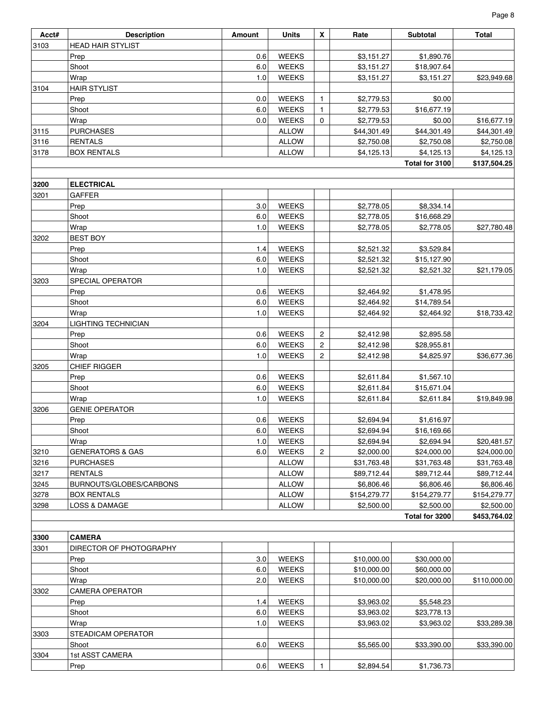| Acct# | <b>Description</b>             | Amount | <b>Units</b> | X              | Rate                       | Subtotal                  | Total        |  |  |  |  |
|-------|--------------------------------|--------|--------------|----------------|----------------------------|---------------------------|--------------|--|--|--|--|
| 3103  | <b>HEAD HAIR STYLIST</b>       |        |              |                |                            |                           |              |  |  |  |  |
|       | Prep                           | 0.6    | <b>WEEKS</b> |                | \$3,151.27                 | \$1,890.76                |              |  |  |  |  |
|       | Shoot                          | 6.0    | <b>WEEKS</b> |                | \$3,151.27                 | \$18,907.64               |              |  |  |  |  |
|       | Wrap                           | 1.0    | <b>WEEKS</b> |                | \$3,151.27                 | \$3,151.27                | \$23,949.68  |  |  |  |  |
| 3104  | <b>HAIR STYLIST</b>            |        |              |                |                            |                           |              |  |  |  |  |
|       | Prep                           | 0.0    | <b>WEEKS</b> | $\mathbf{1}$   | \$2,779.53                 | \$0.00                    |              |  |  |  |  |
|       | Shoot                          | 6.0    | <b>WEEKS</b> | $\mathbf{1}$   | \$2,779.53                 | \$16,677.19               |              |  |  |  |  |
|       | Wrap                           | 0.0    | <b>WEEKS</b> | 0              | \$2,779.53                 | \$0.00                    | \$16,677.19  |  |  |  |  |
| 3115  | <b>PURCHASES</b>               |        | <b>ALLOW</b> |                | \$44,301.49                | \$44,301.49               | \$44,301.49  |  |  |  |  |
| 3116  | <b>RENTALS</b>                 |        | <b>ALLOW</b> |                | \$2,750.08                 | \$2,750.08                | \$2,750.08   |  |  |  |  |
| 3178  | <b>BOX RENTALS</b>             |        | <b>ALLOW</b> |                | \$4,125.13                 | \$4,125.13                | \$4,125.13   |  |  |  |  |
|       |                                |        |              |                |                            | Total for 3100            | \$137,504.25 |  |  |  |  |
|       |                                |        |              |                |                            |                           |              |  |  |  |  |
| 3200  | <b>ELECTRICAL</b>              |        |              |                |                            |                           |              |  |  |  |  |
| 3201  | <b>GAFFER</b>                  |        |              |                |                            |                           |              |  |  |  |  |
|       | Prep                           | 3.0    | <b>WEEKS</b> |                | \$2,778.05                 | \$8,334.14                |              |  |  |  |  |
|       | Shoot                          | 6.0    | <b>WEEKS</b> |                | \$2,778.05                 | \$16,668.29               |              |  |  |  |  |
|       | Wrap                           | 1.0    | <b>WEEKS</b> |                | \$2,778.05                 | \$2,778.05                | \$27,780.48  |  |  |  |  |
| 3202  | <b>BEST BOY</b>                |        |              |                |                            |                           |              |  |  |  |  |
|       | Prep                           | 1.4    | <b>WEEKS</b> |                | \$2,521.32                 | \$3,529.84                |              |  |  |  |  |
|       | Shoot                          | 6.0    | <b>WEEKS</b> |                | \$2,521.32                 | \$15,127.90               |              |  |  |  |  |
|       | Wrap                           | 1.0    | <b>WEEKS</b> |                | \$2,521.32                 | \$2,521.32                | \$21,179.05  |  |  |  |  |
| 3203  | SPECIAL OPERATOR               |        |              |                |                            |                           |              |  |  |  |  |
|       | Prep                           | 0.6    | <b>WEEKS</b> |                | \$2,464.92                 | \$1,478.95                |              |  |  |  |  |
|       | Shoot                          | 6.0    | <b>WEEKS</b> |                | \$2,464.92                 | \$14,789.54               |              |  |  |  |  |
|       | Wrap                           | 1.0    | <b>WEEKS</b> |                | \$2,464.92                 | \$2,464.92                | \$18,733.42  |  |  |  |  |
| 3204  | LIGHTING TECHNICIAN            |        |              |                |                            |                           |              |  |  |  |  |
|       | Prep                           | 0.6    | <b>WEEKS</b> | 2              | \$2,412.98                 | \$2,895.58                |              |  |  |  |  |
|       | Shoot                          | 6.0    | <b>WEEKS</b> | $\mathbf{2}$   | \$2,412.98                 | \$28,955.81               |              |  |  |  |  |
|       | Wrap                           | 1.0    | <b>WEEKS</b> | $\mathbf{2}$   | \$2,412.98                 | \$4,825.97                | \$36,677.36  |  |  |  |  |
| 3205  | <b>CHIEF RIGGER</b>            |        |              |                |                            |                           |              |  |  |  |  |
|       | Prep                           | 0.6    | <b>WEEKS</b> |                | \$2,611.84                 | \$1,567.10                |              |  |  |  |  |
|       | Shoot                          | 6.0    | <b>WEEKS</b> |                | \$2,611.84                 | \$15,671.04               |              |  |  |  |  |
|       | Wrap                           | 1.0    | <b>WEEKS</b> |                | \$2,611.84                 | \$2,611.84                | \$19,849.98  |  |  |  |  |
| 3206  | <b>GENIE OPERATOR</b>          |        |              |                |                            |                           |              |  |  |  |  |
|       | Prep                           | 0.6    | <b>WEEKS</b> |                | \$2,694.94                 | \$1,616.97                |              |  |  |  |  |
|       | Shoot                          | 6.0    | <b>WEEKS</b> |                | \$2,694.94                 | \$16,169.66               |              |  |  |  |  |
|       | Wrap                           | 1.0    | <b>WEEKS</b> |                | \$2,694.94                 | \$2,694.94                | \$20,481.57  |  |  |  |  |
| 3210  | <b>GENERATORS &amp; GAS</b>    | 6.0    | <b>WEEKS</b> | $\overline{c}$ | \$2,000.00                 | \$24,000.00               | \$24,000.00  |  |  |  |  |
| 3216  | <b>PURCHASES</b>               |        | <b>ALLOW</b> |                | \$31,763.48                | \$31,763.48               | \$31,763.48  |  |  |  |  |
| 3217  | <b>RENTALS</b>                 |        | <b>ALLOW</b> |                | \$89,712.44                | \$89,712.44               | \$89,712.44  |  |  |  |  |
| 3245  | BURNOUTS/GLOBES/CARBONS        |        | <b>ALLOW</b> |                | \$6,806.46                 | \$6,806.46                | \$6,806.46   |  |  |  |  |
| 3278  | <b>BOX RENTALS</b>             |        | <b>ALLOW</b> |                | \$154,279.77               | \$154,279.77              | \$154,279.77 |  |  |  |  |
| 3298  | LOSS & DAMAGE                  |        | <b>ALLOW</b> |                | \$2,500.00                 | \$2,500.00                | \$2,500.00   |  |  |  |  |
|       | Total for 3200<br>\$453,764.02 |        |              |                |                            |                           |              |  |  |  |  |
| 3300  | <b>CAMERA</b>                  |        |              |                |                            |                           |              |  |  |  |  |
| 3301  | DIRECTOR OF PHOTOGRAPHY        |        |              |                |                            |                           |              |  |  |  |  |
|       | Prep                           | 3.0    | <b>WEEKS</b> |                |                            | \$30,000.00               |              |  |  |  |  |
|       | Shoot                          | 6.0    | <b>WEEKS</b> |                | \$10,000.00<br>\$10,000.00 | \$60,000.00               |              |  |  |  |  |
|       | Wrap                           | 2.0    | <b>WEEKS</b> |                | \$10,000.00                | \$20,000.00               | \$110,000.00 |  |  |  |  |
| 3302  | <b>CAMERA OPERATOR</b>         |        |              |                |                            |                           |              |  |  |  |  |
|       | Prep                           | 1.4    | <b>WEEKS</b> |                | \$3,963.02                 | \$5,548.23                |              |  |  |  |  |
|       | Shoot                          | 6.0    | <b>WEEKS</b> |                | \$3,963.02                 |                           |              |  |  |  |  |
|       | Wrap                           | 1.0    | <b>WEEKS</b> |                | \$3,963.02                 | \$23,778.13<br>\$3,963.02 | \$33,289.38  |  |  |  |  |
| 3303  | STEADICAM OPERATOR             |        |              |                |                            |                           |              |  |  |  |  |
|       | Shoot                          | 6.0    | <b>WEEKS</b> |                | \$5,565.00                 | \$33,390.00               | \$33,390.00  |  |  |  |  |
| 3304  | 1st ASST CAMERA                |        |              |                |                            |                           |              |  |  |  |  |
|       | Prep                           | 0.6    | <b>WEEKS</b> | $\mathbf{1}$   | \$2,894.54                 | \$1,736.73                |              |  |  |  |  |
|       |                                |        |              |                |                            |                           |              |  |  |  |  |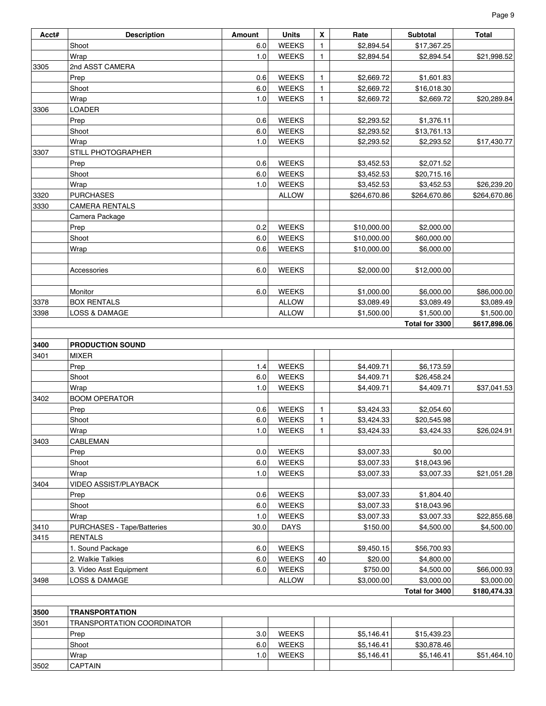| Acct# | <b>Description</b>         | <b>Amount</b> | <b>Units</b> | X            | Rate         | <b>Subtotal</b> | Total        |
|-------|----------------------------|---------------|--------------|--------------|--------------|-----------------|--------------|
|       | Shoot                      | 6.0           | <b>WEEKS</b> | $\mathbf{1}$ | \$2,894.54   | \$17,367.25     |              |
|       | Wrap                       | 1.0           | <b>WEEKS</b> | $\mathbf{1}$ | \$2,894.54   | \$2,894.54      | \$21,998.52  |
| 3305  | 2nd ASST CAMERA            |               |              |              |              |                 |              |
|       | Prep                       | 0.6           | <b>WEEKS</b> | $\mathbf{1}$ | \$2,669.72   | \$1,601.83      |              |
|       | Shoot                      | 6.0           | <b>WEEKS</b> | $\mathbf{1}$ | \$2,669.72   | \$16,018.30     |              |
|       | Wrap                       | 1.0           | <b>WEEKS</b> | $\mathbf{1}$ | \$2,669.72   | \$2,669.72      | \$20,289.84  |
| 3306  | LOADER                     |               |              |              |              |                 |              |
|       | Prep                       | 0.6           | <b>WEEKS</b> |              | \$2,293.52   | \$1,376.11      |              |
|       | Shoot                      | 6.0           | <b>WEEKS</b> |              | \$2,293.52   | \$13,761.13     |              |
|       | Wrap                       | 1.0           | <b>WEEKS</b> |              | \$2,293.52   | \$2,293.52      | \$17,430.77  |
| 3307  | STILL PHOTOGRAPHER         |               |              |              |              |                 |              |
|       | Prep                       | 0.6           | <b>WEEKS</b> |              | \$3,452.53   | \$2,071.52      |              |
|       | Shoot                      | 6.0           | <b>WEEKS</b> |              | \$3,452.53   | \$20,715.16     |              |
|       | Wrap                       | 1.0           | <b>WEEKS</b> |              | \$3,452.53   | \$3,452.53      | \$26,239.20  |
| 3320  | <b>PURCHASES</b>           |               | <b>ALLOW</b> |              | \$264,670.86 | \$264,670.86    | \$264,670.86 |
| 3330  | <b>CAMERA RENTALS</b>      |               |              |              |              |                 |              |
|       | Camera Package             |               |              |              |              |                 |              |
|       | Prep                       | 0.2           | <b>WEEKS</b> |              | \$10,000.00  | \$2,000.00      |              |
|       | Shoot                      | 6.0           | <b>WEEKS</b> |              | \$10,000.00  | \$60,000.00     |              |
|       | Wrap                       | 0.6           | <b>WEEKS</b> |              | \$10,000.00  | \$6,000.00      |              |
|       |                            |               |              |              |              |                 |              |
|       | Accessories                | 6.0           | <b>WEEKS</b> |              | \$2,000.00   | \$12,000.00     |              |
|       |                            |               |              |              |              |                 |              |
|       | Monitor                    | 6.0           | <b>WEEKS</b> |              | \$1,000.00   | \$6,000.00      | \$86,000.00  |
| 3378  | <b>BOX RENTALS</b>         |               | <b>ALLOW</b> |              | \$3,089.49   | \$3,089.49      | \$3,089.49   |
| 3398  | <b>LOSS &amp; DAMAGE</b>   |               | <b>ALLOW</b> |              | \$1,500.00   | \$1,500.00      | \$1,500.00   |
|       |                            |               |              |              |              | Total for 3300  | \$617,898.06 |
|       |                            |               |              |              |              |                 |              |
| 3400  | <b>PRODUCTION SOUND</b>    |               |              |              |              |                 |              |
| 3401  | <b>MIXER</b>               |               |              |              |              |                 |              |
|       | Prep                       | 1.4           | <b>WEEKS</b> |              | \$4,409.71   | \$6,173.59      |              |
|       | Shoot                      | 6.0           | <b>WEEKS</b> |              | \$4,409.71   | \$26,458.24     |              |
|       | Wrap                       | 1.0           | <b>WEEKS</b> |              | \$4,409.71   | \$4,409.71      | \$37,041.53  |
| 3402  | <b>BOOM OPERATOR</b>       |               |              |              |              |                 |              |
|       | Prep                       | 0.6           | <b>WEEKS</b> | $\mathbf{1}$ | \$3,424.33   | \$2,054.60      |              |
|       | Shoot                      | 6.0           | <b>WEEKS</b> | $\mathbf{1}$ | \$3,424.33   | \$20,545.98     |              |
|       | Wrap                       | 1.0           | <b>WEEKS</b> | $\mathbf{1}$ | \$3,424.33   | \$3,424.33      | \$26,024.91  |
| 3403  | <b>CABLEMAN</b>            |               |              |              |              |                 |              |
|       | Prep                       | 0.0           | <b>WEEKS</b> |              | \$3,007.33   | \$0.00          |              |
|       | Shoot                      | 6.0           | <b>WEEKS</b> |              | \$3,007.33   | \$18,043.96     |              |
|       | Wrap                       | 1.0           | <b>WEEKS</b> |              | \$3,007.33   | \$3,007.33      | \$21,051.28  |
| 3404  | VIDEO ASSIST/PLAYBACK      |               |              |              |              |                 |              |
|       | Prep                       | 0.6           | <b>WEEKS</b> |              | \$3,007.33   | \$1,804.40      |              |
|       | Shoot                      | 6.0           | <b>WEEKS</b> |              | \$3,007.33   | \$18,043.96     |              |
|       | Wrap                       | 1.0           | <b>WEEKS</b> |              | \$3,007.33   | \$3,007.33      | \$22,855.68  |
| 3410  | PURCHASES - Tape/Batteries | 30.0          | <b>DAYS</b>  |              | \$150.00     | \$4,500.00      | \$4,500.00   |
| 3415  | <b>RENTALS</b>             |               |              |              |              |                 |              |
|       | 1. Sound Package           | 6.0           | <b>WEEKS</b> |              | \$9,450.15   | \$56,700.93     |              |
|       | 2. Walkie Talkies          | 6.0           | <b>WEEKS</b> | 40           | \$20.00      | \$4,800.00      |              |
|       | 3. Video Asst Equipment    | 6.0           | <b>WEEKS</b> |              | \$750.00     | \$4,500.00      | \$66,000.93  |
| 3498  | LOSS & DAMAGE              |               | <b>ALLOW</b> |              | \$3,000.00   | \$3,000.00      | \$3,000.00   |
|       |                            |               |              |              |              | Total for 3400  | \$180,474.33 |
|       |                            |               |              |              |              |                 |              |
| 3500  | <b>TRANSPORTATION</b>      |               |              |              |              |                 |              |
| 3501  | TRANSPORTATION COORDINATOR |               |              |              |              |                 |              |
|       | Prep                       | 3.0           | <b>WEEKS</b> |              | \$5,146.41   | \$15,439.23     |              |
|       | Shoot                      | 6.0           | <b>WEEKS</b> |              | \$5,146.41   | \$30,878.46     |              |
|       | Wrap                       | 1.0           | WEEKS        |              | \$5,146.41   | \$5,146.41      | \$51,464.10  |
| 3502  | CAPTAIN                    |               |              |              |              |                 |              |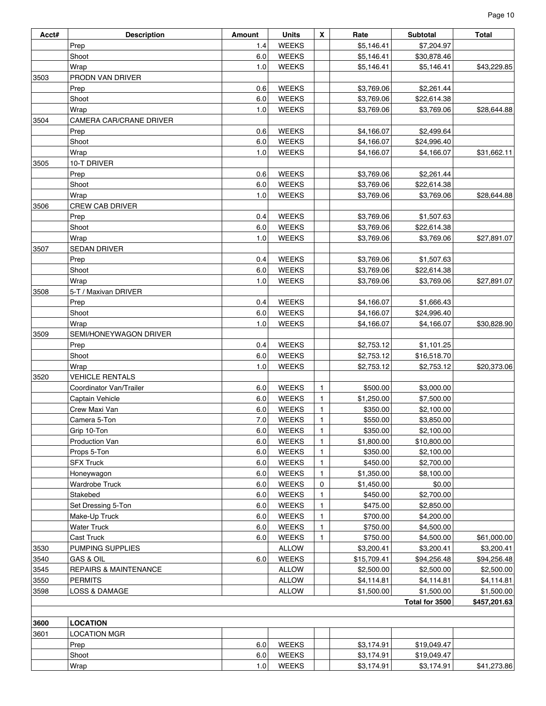| Acct# | <b>Description</b>               | Amount | <b>Units</b> | X            | Rate        | Subtotal       | Total        |
|-------|----------------------------------|--------|--------------|--------------|-------------|----------------|--------------|
|       | Prep                             | 1.4    | <b>WEEKS</b> |              | \$5,146.41  | \$7,204.97     |              |
|       | Shoot                            | 6.0    | <b>WEEKS</b> |              | \$5,146.41  | \$30,878.46    |              |
|       | Wrap                             | 1.0    | <b>WEEKS</b> |              | \$5,146.41  | \$5,146.41     | \$43,229.85  |
| 3503  | PRODN VAN DRIVER                 |        |              |              |             |                |              |
|       | Prep                             | 0.6    | <b>WEEKS</b> |              | \$3,769.06  | \$2,261.44     |              |
|       | Shoot                            | 6.0    | <b>WEEKS</b> |              | \$3,769.06  | \$22,614.38    |              |
|       | Wrap                             | 1.0    | <b>WEEKS</b> |              | \$3,769.06  | \$3,769.06     | \$28,644.88  |
| 3504  | CAMERA CAR/CRANE DRIVER          |        |              |              |             |                |              |
|       | Prep                             | 0.6    | <b>WEEKS</b> |              | \$4,166.07  | \$2,499.64     |              |
|       | Shoot                            | 6.0    | <b>WEEKS</b> |              | \$4,166.07  | \$24,996.40    |              |
|       | Wrap                             | 1.0    | <b>WEEKS</b> |              | \$4,166.07  | \$4,166.07     | \$31,662.11  |
| 3505  | 10-T DRIVER                      |        |              |              |             |                |              |
|       | Prep                             | 0.6    | <b>WEEKS</b> |              | \$3,769.06  | \$2,261.44     |              |
|       | Shoot                            | 6.0    | <b>WEEKS</b> |              | \$3,769.06  | \$22,614.38    |              |
|       | Wrap                             | 1.0    | <b>WEEKS</b> |              | \$3,769.06  | \$3,769.06     | \$28,644.88  |
| 3506  | CREW CAB DRIVER                  |        |              |              |             |                |              |
|       | Prep                             | 0.4    | <b>WEEKS</b> |              | \$3,769.06  | \$1,507.63     |              |
|       | Shoot                            | 6.0    | <b>WEEKS</b> |              | \$3,769.06  | \$22,614.38    |              |
|       | Wrap                             | 1.0    | <b>WEEKS</b> |              | \$3,769.06  | \$3,769.06     | \$27,891.07  |
| 3507  | <b>SEDAN DRIVER</b>              |        |              |              |             |                |              |
|       | Prep                             | 0.4    | <b>WEEKS</b> |              | \$3,769.06  | \$1,507.63     |              |
|       | Shoot                            | 6.0    | <b>WEEKS</b> |              | \$3,769.06  | \$22,614.38    |              |
|       | Wrap                             | 1.0    | <b>WEEKS</b> |              | \$3,769.06  | \$3,769.06     | \$27,891.07  |
| 3508  | 5-T / Maxivan DRIVER             |        |              |              |             |                |              |
|       | Prep                             | 0.4    | <b>WEEKS</b> |              | \$4,166.07  | \$1,666.43     |              |
|       | Shoot                            | 6.0    | <b>WEEKS</b> |              | \$4,166.07  | \$24,996.40    |              |
|       | Wrap                             | 1.0    | <b>WEEKS</b> |              | \$4,166.07  | \$4,166.07     | \$30,828.90  |
| 3509  | SEMI/HONEYWAGON DRIVER           |        |              |              |             |                |              |
|       | Prep                             | 0.4    | <b>WEEKS</b> |              | \$2,753.12  | \$1,101.25     |              |
|       | Shoot                            |        | <b>WEEKS</b> |              |             |                |              |
|       |                                  | 6.0    |              |              | \$2,753.12  | \$16,518.70    |              |
|       | Wrap                             | 1.0    | <b>WEEKS</b> |              | \$2,753.12  | \$2,753.12     | \$20,373.06  |
| 3520  | <b>VEHICLE RENTALS</b>           |        |              |              |             |                |              |
|       | Coordinator Van/Trailer          | 6.0    | <b>WEEKS</b> | 1            | \$500.00    | \$3,000.00     |              |
|       | Captain Vehicle                  | 6.0    | <b>WEEKS</b> | 1            | \$1,250.00  | \$7,500.00     |              |
|       | Crew Maxi Van                    | 6.0    | <b>WEEKS</b> | $\mathbf{1}$ | \$350.00    | \$2,100.00     |              |
|       | Camera 5-Ton                     | $7.0$  | <b>WEEKS</b> | 1            | \$550.00    | \$3,850.00     |              |
|       | Grip 10-Ton                      | 6.0    | <b>WEEKS</b> | $\mathbf{1}$ | \$350.00    | \$2,100.00     |              |
|       | Production Van                   | 6.0    | <b>WEEKS</b> | 1            | \$1,800.00  | \$10,800.00    |              |
|       | Props 5-Ton                      | 6.0    | <b>WEEKS</b> | 1            | \$350.00    | \$2,100.00     |              |
|       | <b>SFX Truck</b>                 | 6.0    | <b>WEEKS</b> | 1            | \$450.00    | \$2,700.00     |              |
|       | Honeywagon                       | 6.0    | <b>WEEKS</b> | 1            | \$1,350.00  | \$8,100.00     |              |
|       | Wardrobe Truck                   | 6.0    | <b>WEEKS</b> | 0            | \$1,450.00  | \$0.00         |              |
|       | Stakebed                         | 6.0    | <b>WEEKS</b> | 1            | \$450.00    | \$2,700.00     |              |
|       | Set Dressing 5-Ton               | 6.0    | <b>WEEKS</b> | 1            | \$475.00    | \$2,850.00     |              |
|       | Make-Up Truck                    | 6.0    | <b>WEEKS</b> | 1            | \$700.00    | \$4,200.00     |              |
|       | <b>Water Truck</b>               | 6.0    | <b>WEEKS</b> | 1            | \$750.00    | \$4,500.00     |              |
|       | Cast Truck                       | 6.0    | <b>WEEKS</b> | 1            | \$750.00    | \$4,500.00     | \$61,000.00  |
| 3530  | PUMPING SUPPLIES                 |        | <b>ALLOW</b> |              | \$3,200.41  | \$3,200.41     | \$3,200.41   |
| 3540  | <b>GAS &amp; OIL</b>             | 6.0    | <b>WEEKS</b> |              | \$15,709.41 | \$94,256.48    | \$94,256.48  |
| 3545  | <b>REPAIRS &amp; MAINTENANCE</b> |        | <b>ALLOW</b> |              | \$2,500.00  | \$2,500.00     | \$2,500.00   |
| 3550  | <b>PERMITS</b>                   |        | <b>ALLOW</b> |              | \$4,114.81  | \$4,114.81     | \$4,114.81   |
| 3598  | <b>LOSS &amp; DAMAGE</b>         |        | <b>ALLOW</b> |              | \$1,500.00  | \$1,500.00     | \$1,500.00   |
|       |                                  |        |              |              |             | Total for 3500 | \$457,201.63 |
|       |                                  |        |              |              |             |                |              |
| 3600  | <b>LOCATION</b>                  |        |              |              |             |                |              |
| 3601  | <b>LOCATION MGR</b>              |        |              |              |             |                |              |
|       | Prep                             | 6.0    | <b>WEEKS</b> |              | \$3,174.91  | \$19,049.47    |              |
|       | Shoot                            | 6.0    | <b>WEEKS</b> |              | \$3,174.91  | \$19,049.47    |              |
|       | Wrap                             | 1.0    | <b>WEEKS</b> |              | \$3,174.91  | \$3,174.91     | \$41,273.86  |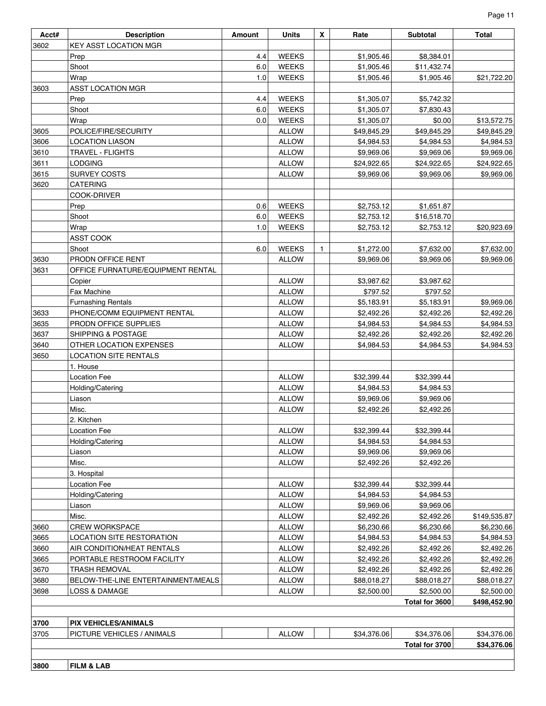| ıne<br>→<br>o |  |
|---------------|--|
|               |  |

| Acct# | <b>Description</b>                 | <b>Amount</b> | <b>Units</b> | X            | Rate        | <b>Subtotal</b> | Total        |  |
|-------|------------------------------------|---------------|--------------|--------------|-------------|-----------------|--------------|--|
| 3602  | <b>KEY ASST LOCATION MGR</b>       |               |              |              |             |                 |              |  |
|       | Prep                               | 4.4           | <b>WEEKS</b> |              | \$1,905.46  | \$8,384.01      |              |  |
|       | Shoot                              | 6.0           | <b>WEEKS</b> |              | \$1,905.46  | \$11,432.74     |              |  |
|       | Wrap                               | 1.0           | <b>WEEKS</b> |              | \$1,905.46  | \$1,905.46      | \$21,722.20  |  |
| 3603  | <b>ASST LOCATION MGR</b>           |               |              |              |             |                 |              |  |
|       | Prep                               | 4.4           | <b>WEEKS</b> |              | \$1,305.07  | \$5,742.32      |              |  |
|       | Shoot                              | 6.0           | <b>WEEKS</b> |              | \$1,305.07  | \$7,830.43      |              |  |
|       | Wrap                               | 0.0           | <b>WEEKS</b> |              | \$1,305.07  | \$0.00          | \$13,572.75  |  |
| 3605  | POLICE/FIRE/SECURITY               |               | <b>ALLOW</b> |              | \$49,845.29 | \$49,845.29     | \$49,845.29  |  |
| 3606  | <b>LOCATION LIASON</b>             |               | <b>ALLOW</b> |              | \$4,984.53  | \$4,984.53      | \$4,984.53   |  |
| 3610  | <b>TRAVEL - FLIGHTS</b>            |               | <b>ALLOW</b> |              | \$9,969.06  | \$9,969.06      | \$9,969.06   |  |
| 3611  | <b>LODGING</b>                     |               | <b>ALLOW</b> |              | \$24,922.65 | \$24,922.65     | \$24,922.65  |  |
| 3615  | <b>SURVEY COSTS</b>                |               | <b>ALLOW</b> |              | \$9,969.06  | \$9,969.06      | \$9,969.06   |  |
| 3620  | <b>CATERING</b>                    |               |              |              |             |                 |              |  |
|       | COOK-DRIVER                        |               |              |              |             |                 |              |  |
|       |                                    | 0.6           | <b>WEEKS</b> |              | \$2,753.12  | \$1,651.87      |              |  |
|       | Prep                               | 6.0           |              |              |             |                 |              |  |
|       | Shoot                              |               | <b>WEEKS</b> |              | \$2,753.12  | \$16,518.70     |              |  |
|       | Wrap                               | 1.0           | <b>WEEKS</b> |              | \$2,753.12  | \$2,753.12      | \$20,923.69  |  |
|       | ASST COOK                          |               |              |              |             |                 |              |  |
|       | Shoot                              | 6.0           | <b>WEEKS</b> | $\mathbf{1}$ | \$1,272.00  | \$7,632.00      | \$7,632.00   |  |
| 3630  | PRODN OFFICE RENT                  |               | <b>ALLOW</b> |              | \$9,969.06  | \$9,969.06      | \$9,969.06   |  |
| 3631  | OFFICE FURNATURE/EQUIPMENT RENTAL  |               |              |              |             |                 |              |  |
|       | Copier                             |               | <b>ALLOW</b> |              | \$3,987.62  | \$3,987.62      |              |  |
|       | <b>Fax Machine</b>                 |               | <b>ALLOW</b> |              | \$797.52    | \$797.52        |              |  |
|       | <b>Furnashing Rentals</b>          |               | <b>ALLOW</b> |              | \$5,183.91  | \$5,183.91      | \$9,969.06   |  |
| 3633  | PHONE/COMM EQUIPMENT RENTAL        |               | <b>ALLOW</b> |              | \$2,492.26  | \$2,492.26      | \$2,492.26   |  |
| 3635  | PRODN OFFICE SUPPLIES              |               | <b>ALLOW</b> |              | \$4,984.53  | \$4,984.53      | \$4,984.53   |  |
| 3637  | <b>SHIPPING &amp; POSTAGE</b>      |               | <b>ALLOW</b> |              | \$2,492.26  | \$2,492.26      | \$2,492.26   |  |
| 3640  | OTHER LOCATION EXPENSES            |               | <b>ALLOW</b> |              | \$4,984.53  | \$4,984.53      | \$4,984.53   |  |
| 3650  | <b>LOCATION SITE RENTALS</b>       |               |              |              |             |                 |              |  |
|       | 1. House                           |               |              |              |             |                 |              |  |
|       | <b>Location Fee</b>                |               | <b>ALLOW</b> |              | \$32,399.44 | \$32,399.44     |              |  |
|       | Holding/Catering                   |               | <b>ALLOW</b> |              | \$4,984.53  | \$4,984.53      |              |  |
|       | Liason                             |               | <b>ALLOW</b> |              | \$9,969.06  | \$9,969.06      |              |  |
|       | Misc.                              |               | <b>ALLOW</b> |              | \$2,492.26  | \$2,492.26      |              |  |
|       | 2. Kitchen                         |               |              |              |             |                 |              |  |
|       | <b>Location Fee</b>                |               | <b>ALLOW</b> |              | \$32,399.44 | \$32,399.44     |              |  |
|       | Holding/Catering                   |               | <b>ALLOW</b> |              | \$4,984.53  | \$4,984.53      |              |  |
|       | Liason                             |               | <b>ALLOW</b> |              | \$9,969.06  | \$9,969.06      |              |  |
|       | Misc.                              |               | <b>ALLOW</b> |              | \$2,492.26  | \$2,492.26      |              |  |
|       | 3. Hospital                        |               |              |              |             |                 |              |  |
|       | <b>Location Fee</b>                |               | <b>ALLOW</b> |              | \$32,399.44 | \$32,399.44     |              |  |
|       | Holding/Catering                   |               | <b>ALLOW</b> |              | \$4,984.53  | \$4,984.53      |              |  |
|       | Liason                             |               | <b>ALLOW</b> |              | \$9,969.06  | \$9,969.06      |              |  |
|       | Misc.                              |               | <b>ALLOW</b> |              | \$2,492.26  | \$2,492.26      | \$149,535.87 |  |
| 3660  | CREW WORKSPACE                     |               | <b>ALLOW</b> |              | \$6,230.66  | \$6,230.66      | \$6,230.66   |  |
| 3665  | LOCATION SITE RESTORATION          |               | <b>ALLOW</b> |              | \$4,984.53  | \$4,984.53      | \$4,984.53   |  |
| 3660  | AIR CONDITION/HEAT RENTALS         |               | <b>ALLOW</b> |              | \$2,492.26  | \$2,492.26      | \$2,492.26   |  |
| 3665  | PORTABLE RESTROOM FACILITY         |               | <b>ALLOW</b> |              | \$2,492.26  | \$2,492.26      | \$2,492.26   |  |
| 3670  | <b>TRASH REMOVAL</b>               |               | <b>ALLOW</b> |              | \$2,492.26  | \$2,492.26      | \$2,492.26   |  |
| 3680  | BELOW-THE-LINE ENTERTAINMENT/MEALS |               | <b>ALLOW</b> |              | \$88,018.27 | \$88,018.27     | \$88,018.27  |  |
| 3698  | LOSS & DAMAGE                      |               | <b>ALLOW</b> |              | \$2,500.00  | \$2,500.00      | \$2,500.00   |  |
|       | Total for 3600<br>\$498,452.90     |               |              |              |             |                 |              |  |
|       |                                    |               |              |              |             |                 |              |  |
| 3700  | <b>PIX VEHICLES/ANIMALS</b>        |               |              |              |             |                 |              |  |
| 3705  | PICTURE VEHICLES / ANIMALS         |               | <b>ALLOW</b> |              | \$34,376.06 | \$34,376.06     | \$34,376.06  |  |
|       |                                    |               |              |              |             | Total for 3700  | \$34,376.06  |  |
|       |                                    |               |              |              |             |                 |              |  |
| 3800  | <b>FILM &amp; LAB</b>              |               |              |              |             |                 |              |  |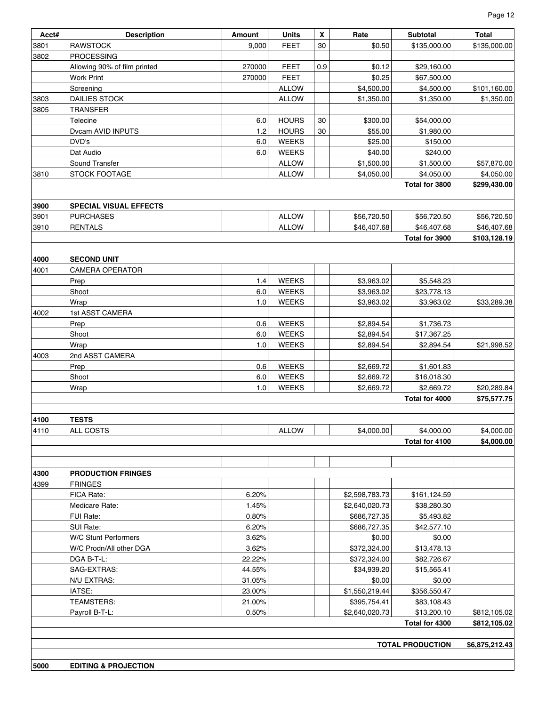| Acct# | <b>Description</b>                                | Amount           | <b>Units</b>               | X   | Rate             | Subtotal                   | <b>Total</b>               |
|-------|---------------------------------------------------|------------------|----------------------------|-----|------------------|----------------------------|----------------------------|
| 3801  | <b>RAWSTOCK</b>                                   | 9,000            | <b>FEET</b>                | 30  | \$0.50           | \$135,000.00               | \$135,000.00               |
| 3802  | <b>PROCESSING</b>                                 |                  |                            |     |                  |                            |                            |
|       |                                                   |                  |                            | 0.9 |                  |                            |                            |
|       | Allowing 90% of film printed<br><b>Work Print</b> | 270000<br>270000 | <b>FEET</b><br><b>FEET</b> |     | \$0.12<br>\$0.25 | \$29,160.00<br>\$67,500.00 |                            |
|       |                                                   |                  | <b>ALLOW</b>               |     | \$4,500.00       | \$4,500.00                 |                            |
| 3803  | Screening<br><b>DAILIES STOCK</b>                 |                  | <b>ALLOW</b>               |     | \$1,350.00       | \$1,350.00                 | \$101,160.00<br>\$1,350.00 |
| 3805  | <b>TRANSFER</b>                                   |                  |                            |     |                  |                            |                            |
|       | Telecine                                          | 6.0              | <b>HOURS</b>               | 30  | \$300.00         | \$54,000.00                |                            |
|       | Dvcam AVID INPUTS                                 | 1.2              | <b>HOURS</b>               | 30  | \$55.00          | \$1,980.00                 |                            |
|       | DVD's                                             | 6.0              | <b>WEEKS</b>               |     | \$25.00          | \$150.00                   |                            |
|       | Dat Audio                                         | 6.0              | <b>WEEKS</b>               |     | \$40.00          | \$240.00                   |                            |
|       | Sound Transfer                                    |                  | <b>ALLOW</b>               |     | \$1,500.00       | \$1,500.00                 |                            |
| 3810  | STOCK FOOTAGE                                     |                  | <b>ALLOW</b>               |     | \$4,050.00       | \$4,050.00                 | \$57,870.00<br>\$4,050.00  |
|       |                                                   |                  |                            |     |                  | Total for 3800             | \$299,430.00               |
|       |                                                   |                  |                            |     |                  |                            |                            |
| 3900  | <b>SPECIAL VISUAL EFFECTS</b>                     |                  |                            |     |                  |                            |                            |
| 3901  | <b>PURCHASES</b>                                  |                  | <b>ALLOW</b>               |     | \$56,720.50      | \$56,720.50                | \$56,720.50                |
| 3910  | <b>RENTALS</b>                                    |                  | <b>ALLOW</b>               |     | \$46,407.68      | \$46,407.68                | \$46,407.68                |
|       |                                                   |                  |                            |     |                  | Total for 3900             | \$103,128.19               |
|       |                                                   |                  |                            |     |                  |                            |                            |
| 4000  | <b>SECOND UNIT</b>                                |                  |                            |     |                  |                            |                            |
| 4001  | <b>CAMERA OPERATOR</b>                            |                  |                            |     |                  |                            |                            |
|       | Prep                                              | 1.4              | <b>WEEKS</b>               |     | \$3,963.02       | \$5,548.23                 |                            |
|       | Shoot                                             | 6.0              | <b>WEEKS</b>               |     | \$3,963.02       | \$23,778.13                |                            |
|       | Wrap                                              | 1.0              | <b>WEEKS</b>               |     | \$3,963.02       | \$3,963.02                 | \$33,289.38                |
| 4002  | 1st ASST CAMERA                                   |                  |                            |     |                  |                            |                            |
|       | Prep                                              | 0.6              | <b>WEEKS</b>               |     | \$2,894.54       | \$1,736.73                 |                            |
|       | Shoot                                             | 6.0              | <b>WEEKS</b>               |     | \$2,894.54       | \$17,367.25                |                            |
|       | Wrap                                              | 1.0              | <b>WEEKS</b>               |     | \$2,894.54       | \$2,894.54                 | \$21,998.52                |
| 4003  | 2nd ASST CAMERA                                   |                  |                            |     |                  |                            |                            |
|       | Prep                                              | 0.6              | <b>WEEKS</b>               |     | \$2,669.72       | \$1,601.83                 |                            |
|       | Shoot                                             | 6.0              | <b>WEEKS</b>               |     | \$2,669.72       | \$16,018.30                |                            |
|       | Wrap                                              | 1.0              | <b>WEEKS</b>               |     | \$2,669.72       | \$2,669.72                 | \$20,289.84                |
|       |                                                   |                  |                            |     |                  | Total for 4000             | \$75,577.75                |
|       |                                                   |                  |                            |     |                  |                            |                            |
| 4100  | <b>TESTS</b>                                      |                  |                            |     |                  |                            |                            |
| 4110  | ALL COSTS                                         |                  | <b>ALLOW</b>               |     | \$4,000.00       | \$4,000.00                 | \$4,000.00                 |
|       |                                                   |                  |                            |     |                  | Total for 4100             | \$4,000.00                 |
|       |                                                   |                  |                            |     |                  |                            |                            |
|       |                                                   |                  |                            |     |                  |                            |                            |
| 4300  | <b>PRODUCTION FRINGES</b>                         |                  |                            |     |                  |                            |                            |
| 4399  | <b>FRINGES</b>                                    |                  |                            |     |                  |                            |                            |
|       | FICA Rate:                                        | 6.20%            |                            |     | \$2,598,783.73   | \$161,124.59               |                            |
|       | Medicare Rate:                                    | 1.45%            |                            |     | \$2,640,020.73   | \$38,280.30                |                            |
|       | FUI Rate:                                         | 0.80%            |                            |     | \$686,727.35     | \$5,493.82                 |                            |
|       | SUI Rate:                                         | 6.20%            |                            |     | \$686,727.35     | \$42,577.10                |                            |
|       | W/C Stunt Performers                              | 3.62%            |                            |     | \$0.00           | \$0.00                     |                            |
|       | W/C Prodn/All other DGA                           | 3.62%            |                            |     | \$372,324.00     | \$13,478.13                |                            |
|       | DGA B-T-L:                                        | 22.22%           |                            |     | \$372,324.00     | \$82,726.67                |                            |
|       | SAG-EXTRAS:                                       | 44.55%           |                            |     | \$34,939.20      | \$15,565.41                |                            |
|       | N/U EXTRAS:                                       | 31.05%           |                            |     | \$0.00           | \$0.00                     |                            |
|       | IATSE:                                            | 23.00%           |                            |     | \$1,550,219.44   | \$356,550.47               |                            |
|       | TEAMSTERS:                                        | 21.00%           |                            |     | \$395,754.41     | \$83,108.43                |                            |
|       | Payroll B-T-L:                                    | 0.50%            |                            |     | \$2,640,020.73   | \$13,200.10                | \$812,105.02               |
|       |                                                   |                  |                            |     |                  | Total for 4300             | \$812,105.02               |
|       |                                                   |                  |                            |     |                  |                            |                            |
|       |                                                   |                  |                            |     |                  | <b>TOTAL PRODUCTION</b>    | \$6,875,212.43             |
|       |                                                   |                  |                            |     |                  |                            |                            |
| 5000  | <b>EDITING &amp; PROJECTION</b>                   |                  |                            |     |                  |                            |                            |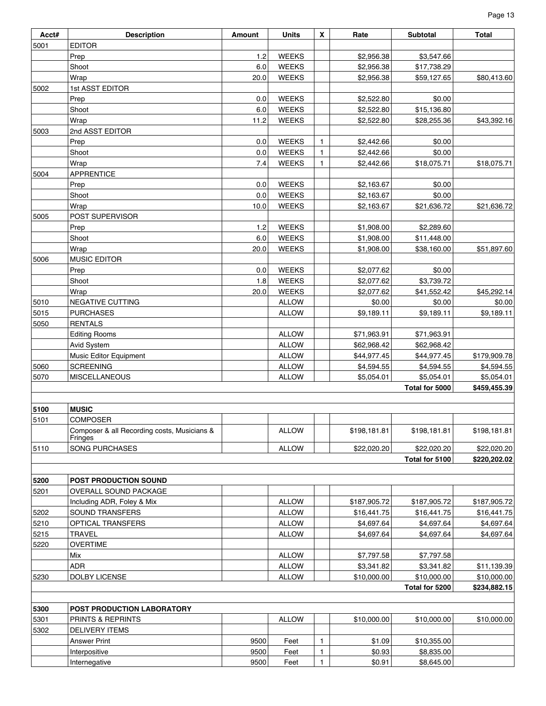| Acct# | <b>Description</b>                                     | Amount | <b>Units</b> | X            | Rate         | Subtotal       | <b>Total</b> |
|-------|--------------------------------------------------------|--------|--------------|--------------|--------------|----------------|--------------|
| 5001  | <b>EDITOR</b>                                          |        |              |              |              |                |              |
|       | Prep                                                   | 1.2    | <b>WEEKS</b> |              | \$2,956.38   | \$3,547.66     |              |
|       | Shoot                                                  | 6.0    | <b>WEEKS</b> |              | \$2,956.38   | \$17,738.29    |              |
|       | Wrap                                                   | 20.0   | <b>WEEKS</b> |              | \$2,956.38   | \$59,127.65    | \$80,413.60  |
| 5002  | 1st ASST EDITOR                                        |        |              |              |              |                |              |
|       | Prep                                                   | 0.0    | <b>WEEKS</b> |              | \$2,522.80   | \$0.00         |              |
|       | Shoot                                                  | 6.0    | <b>WEEKS</b> |              | \$2,522.80   | \$15,136.80    |              |
|       | Wrap                                                   | 11.2   | <b>WEEKS</b> |              | \$2,522.80   | \$28,255.36    | \$43,392.16  |
| 5003  | 2nd ASST EDITOR                                        |        |              |              |              |                |              |
|       | Prep                                                   | 0.0    | <b>WEEKS</b> | $\mathbf{1}$ | \$2,442.66   | \$0.00         |              |
|       | Shoot                                                  | 0.0    | <b>WEEKS</b> | $\mathbf{1}$ | \$2,442.66   | \$0.00         |              |
|       | Wrap                                                   | 7.4    | <b>WEEKS</b> | $\mathbf{1}$ | \$2,442.66   | \$18,075.71    | \$18,075.71  |
| 5004  | <b>APPRENTICE</b>                                      |        |              |              |              |                |              |
|       | Prep                                                   | 0.0    | <b>WEEKS</b> |              | \$2,163.67   | \$0.00         |              |
|       | Shoot                                                  | 0.0    | <b>WEEKS</b> |              | \$2,163.67   | \$0.00         |              |
|       | Wrap                                                   | 10.0   | <b>WEEKS</b> |              | \$2,163.67   | \$21,636.72    | \$21,636.72  |
| 5005  | POST SUPERVISOR                                        |        |              |              |              |                |              |
|       | Prep                                                   | 1.2    | <b>WEEKS</b> |              | \$1,908.00   | \$2,289.60     |              |
|       | Shoot                                                  | 6.0    | <b>WEEKS</b> |              | \$1,908.00   | \$11,448.00    |              |
|       | Wrap                                                   | 20.0   | <b>WEEKS</b> |              | \$1,908.00   | \$38,160.00    | \$51,897.60  |
| 5006  | MUSIC EDITOR                                           |        |              |              |              |                |              |
|       | Prep                                                   | 0.0    | <b>WEEKS</b> |              | \$2,077.62   | \$0.00         |              |
|       | Shoot                                                  | 1.8    | <b>WEEKS</b> |              | \$2,077.62   | \$3,739.72     |              |
|       | Wrap                                                   | 20.0   | <b>WEEKS</b> |              | \$2,077.62   | \$41,552.42    | \$45,292.14  |
| 5010  | NEGATIVE CUTTING                                       |        | <b>ALLOW</b> |              | \$0.00       | \$0.00         | \$0.00       |
| 5015  | <b>PURCHASES</b>                                       |        | <b>ALLOW</b> |              | \$9,189.11   | \$9,189.11     | \$9,189.11   |
| 5050  | <b>RENTALS</b>                                         |        |              |              |              |                |              |
|       | <b>Editing Rooms</b>                                   |        | <b>ALLOW</b> |              | \$71,963.91  | \$71,963.91    |              |
|       | Avid System                                            |        | <b>ALLOW</b> |              | \$62,968.42  | \$62,968.42    |              |
|       | Music Editor Equipment                                 |        | <b>ALLOW</b> |              | \$44,977.45  | \$44,977.45    | \$179,909.78 |
| 5060  | <b>SCREENING</b>                                       |        | <b>ALLOW</b> |              | \$4,594.55   | \$4,594.55     | \$4,594.55   |
| 5070  | <b>MISCELLANEOUS</b>                                   |        | <b>ALLOW</b> |              | \$5,054.01   | \$5,054.01     | \$5,054.01   |
|       |                                                        |        |              |              |              | Total for 5000 | \$459,455.39 |
|       |                                                        |        |              |              |              |                |              |
| 5100  | <b>MUSIC</b>                                           |        |              |              |              |                |              |
| 5101  | <b>COMPOSER</b>                                        |        |              |              |              |                |              |
|       | Composer & all Recording costs, Musicians &<br>Fringes |        | <b>ALLOW</b> |              | \$198,181.81 | \$198,181.81   | \$198,181.81 |
| 5110  | <b>SONG PURCHASES</b>                                  |        | <b>ALLOW</b> |              | \$22,020.20  | \$22,020.20    | \$22,020.20  |
|       |                                                        |        |              |              |              | Total for 5100 | \$220,202.02 |
|       |                                                        |        |              |              |              |                |              |
| 5200  | POST PRODUCTION SOUND                                  |        |              |              |              |                |              |
| 5201  | <b>OVERALL SOUND PACKAGE</b>                           |        |              |              |              |                |              |
|       | Including ADR, Foley & Mix                             |        | <b>ALLOW</b> |              | \$187,905.72 | \$187,905.72   | \$187,905.72 |
| 5202  | SOUND TRANSFERS                                        |        | <b>ALLOW</b> |              | \$16,441.75  | \$16,441.75    | \$16,441.75  |
| 5210  | OPTICAL TRANSFERS                                      |        | <b>ALLOW</b> |              | \$4,697.64   | \$4,697.64     | \$4,697.64   |
| 5215  | <b>TRAVEL</b>                                          |        | <b>ALLOW</b> |              | \$4,697.64   | \$4,697.64     | \$4,697.64   |
| 5220  | <b>OVERTIME</b>                                        |        |              |              |              |                |              |
|       | Mix                                                    |        | <b>ALLOW</b> |              | \$7,797.58   | \$7,797.58     |              |
|       | ADR                                                    |        | <b>ALLOW</b> |              | \$3,341.82   | \$3,341.82     | \$11,139.39  |
| 5230  | DOLBY LICENSE                                          |        | <b>ALLOW</b> |              | \$10,000.00  | \$10,000.00    | \$10,000.00  |
|       |                                                        |        |              |              |              | Total for 5200 | \$234,882.15 |
|       |                                                        |        |              |              |              |                |              |
| 5300  | POST PRODUCTION LABORATORY                             |        |              |              |              |                |              |
| 5301  | PRINTS & REPRINTS                                      |        | <b>ALLOW</b> |              | \$10,000.00  | \$10,000.00    | \$10,000.00  |
| 5302  | <b>DELIVERY ITEMS</b>                                  |        |              |              |              |                |              |
|       | <b>Answer Print</b>                                    | 9500   | Feet         | 1            | \$1.09       | \$10,355.00    |              |
|       | Interpositive                                          | 9500   | Feet         | 1            | \$0.93       | \$8,835.00     |              |
|       | Internegative                                          | 9500   | Feet         | 1            | \$0.91       | \$8,645.00     |              |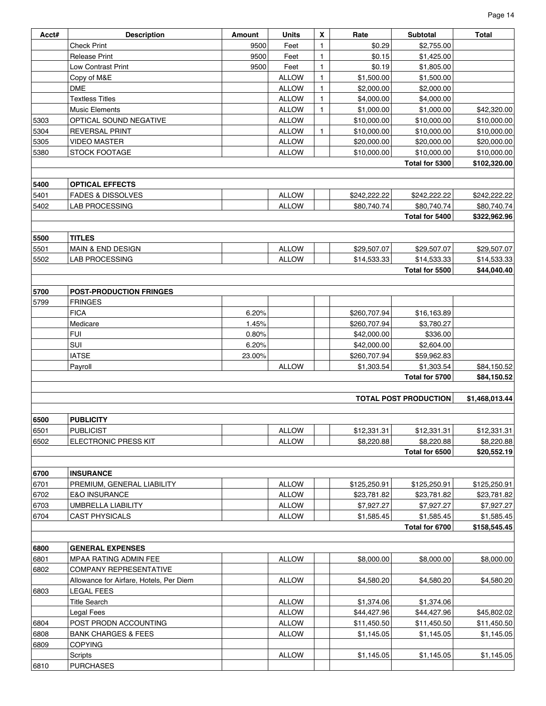| Page 14 |  |
|---------|--|
|---------|--|

| Acct# | <b>Description</b>                      | Amount | <b>Units</b> | X            | Rate         | Subtotal                     | Total          |
|-------|-----------------------------------------|--------|--------------|--------------|--------------|------------------------------|----------------|
|       | <b>Check Print</b>                      | 9500   | Feet         | $\mathbf{1}$ | \$0.29       | \$2,755.00                   |                |
|       | <b>Release Print</b>                    | 9500   | Feet         | $\mathbf{1}$ | \$0.15       | \$1,425.00                   |                |
|       | <b>Low Contrast Print</b>               | 9500   | Feet         | $\mathbf{1}$ | \$0.19       | \$1,805.00                   |                |
|       | Copy of M&E                             |        | <b>ALLOW</b> | $\mathbf{1}$ | \$1,500.00   | \$1,500.00                   |                |
|       | <b>DME</b>                              |        | <b>ALLOW</b> | 1            | \$2,000.00   | \$2,000.00                   |                |
|       | <b>Textless Titles</b>                  |        | <b>ALLOW</b> | $\mathbf{1}$ | \$4,000.00   | \$4,000.00                   |                |
|       | <b>Music Elements</b>                   |        | <b>ALLOW</b> | $\mathbf{1}$ | \$1,000.00   | \$1,000.00                   | \$42,320.00    |
| 5303  | OPTICAL SOUND NEGATIVE                  |        | <b>ALLOW</b> |              | \$10,000.00  | \$10,000.00                  | \$10,000.00    |
| 5304  | <b>REVERSAL PRINT</b>                   |        | <b>ALLOW</b> | $\mathbf{1}$ | \$10,000.00  | \$10,000.00                  | \$10,000.00    |
| 5305  | <b>VIDEO MASTER</b>                     |        | <b>ALLOW</b> |              | \$20,000.00  | \$20,000.00                  | \$20,000.00    |
| 5380  | STOCK FOOTAGE                           |        | <b>ALLOW</b> |              | \$10,000.00  | \$10,000.00                  | \$10,000.00    |
|       |                                         |        |              |              |              | Total for 5300               | \$102,320.00   |
|       |                                         |        |              |              |              |                              |                |
| 5400  | <b>OPTICAL EFFECTS</b>                  |        |              |              |              |                              |                |
| 5401  | <b>FADES &amp; DISSOLVES</b>            |        | <b>ALLOW</b> |              | \$242,222.22 | \$242,222.22                 | \$242,222.22   |
| 5402  | LAB PROCESSING                          |        | <b>ALLOW</b> |              | \$80,740.74  | \$80,740.74                  | \$80,740.74    |
|       |                                         |        |              |              |              | Total for 5400               | \$322,962.96   |
|       |                                         |        |              |              |              |                              |                |
|       |                                         |        |              |              |              |                              |                |
| 5500  | <b>TITLES</b>                           |        |              |              |              |                              |                |
| 5501  | <b>MAIN &amp; END DESIGN</b>            |        | <b>ALLOW</b> |              | \$29,507.07  | \$29,507.07                  | \$29,507.07    |
| 5502  | LAB PROCESSING                          |        | <b>ALLOW</b> |              | \$14,533.33  | \$14,533.33                  | \$14,533.33    |
|       |                                         |        |              |              |              | Total for 5500               | \$44,040.40    |
|       |                                         |        |              |              |              |                              |                |
| 5700  | <b>POST-PRODUCTION FRINGES</b>          |        |              |              |              |                              |                |
| 5799  | <b>FRINGES</b>                          |        |              |              |              |                              |                |
|       | <b>FICA</b>                             | 6.20%  |              |              | \$260,707.94 | \$16,163.89                  |                |
|       | Medicare                                | 1.45%  |              |              | \$260,707.94 | \$3,780.27                   |                |
|       | <b>FUI</b>                              | 0.80%  |              |              | \$42,000.00  | \$336.00                     |                |
|       | SUI                                     | 6.20%  |              |              | \$42,000.00  | \$2,604.00                   |                |
|       | <b>IATSE</b>                            | 23.00% |              |              | \$260,707.94 | \$59,962.83                  |                |
|       | Payroll                                 |        | <b>ALLOW</b> |              | \$1,303.54   | \$1,303.54                   | \$84,150.52    |
|       |                                         |        |              |              |              | Total for 5700               | \$84,150.52    |
|       |                                         |        |              |              |              |                              |                |
|       |                                         |        |              |              |              | <b>TOTAL POST PRODUCTION</b> | \$1,468,013.44 |
|       |                                         |        |              |              |              |                              |                |
| 6500  | <b>PUBLICITY</b>                        |        |              |              |              |                              |                |
| 6501  | <b>PUBLICIST</b>                        |        | <b>ALLOW</b> |              | \$12,331.31  | \$12,331.31                  | \$12,331.31    |
| 6502  | ELECTRONIC PRESS KIT                    |        | <b>ALLOW</b> |              | \$8,220.88   | \$8,220.88                   | \$8,220.88     |
|       |                                         |        |              |              |              |                              |                |
|       |                                         |        |              |              |              | Total for 6500               | \$20,552.19    |
|       |                                         |        |              |              |              |                              |                |
| 6700  | <b>INSURANCE</b>                        |        |              |              |              |                              |                |
| 6701  | PREMIUM, GENERAL LIABILITY              |        | <b>ALLOW</b> |              | \$125,250.91 | \$125,250.91                 | \$125,250.91   |
| 6702  | <b>E&amp;O INSURANCE</b>                |        | <b>ALLOW</b> |              | \$23,781.82  | \$23,781.82                  | \$23,781.82    |
| 6703  | UMBRELLA LIABILITY                      |        | <b>ALLOW</b> |              | \$7,927.27   | \$7,927.27                   | \$7,927.27     |
| 6704  | <b>CAST PHYSICALS</b>                   |        | <b>ALLOW</b> |              | \$1,585.45   | \$1,585.45                   | \$1,585.45     |
|       |                                         |        |              |              |              | Total for 6700               | \$158,545.45   |
|       |                                         |        |              |              |              |                              |                |
| 6800  | <b>GENERAL EXPENSES</b>                 |        |              |              |              |                              |                |
| 6801  | MPAA RATING ADMIN FEE                   |        | <b>ALLOW</b> |              | \$8,000.00   | \$8,000.00                   | \$8,000.00     |
| 6802  | COMPANY REPRESENTATIVE                  |        |              |              |              |                              |                |
|       | Allowance for Airfare, Hotels, Per Diem |        | <b>ALLOW</b> |              | \$4,580.20   | \$4,580.20                   | \$4,580.20     |
| 6803  | <b>LEGAL FEES</b>                       |        |              |              |              |                              |                |
|       | <b>Title Search</b>                     |        | <b>ALLOW</b> |              | \$1,374.06   | \$1,374.06                   |                |
|       | Legal Fees                              |        | <b>ALLOW</b> |              | \$44,427.96  | \$44,427.96                  | \$45,802.02    |
| 6804  | POST PRODN ACCOUNTING                   |        | <b>ALLOW</b> |              | \$11,450.50  | \$11,450.50                  | \$11,450.50    |
| 6808  | <b>BANK CHARGES &amp; FEES</b>          |        | <b>ALLOW</b> |              | \$1,145.05   | \$1,145.05                   | \$1,145.05     |
| 6809  | <b>COPYING</b>                          |        |              |              |              |                              |                |
|       | Scripts                                 |        | <b>ALLOW</b> |              | \$1,145.05   | \$1,145.05                   | \$1,145.05     |
|       |                                         |        |              |              |              |                              |                |
| 6810  | <b>PURCHASES</b>                        |        |              |              |              |                              |                |